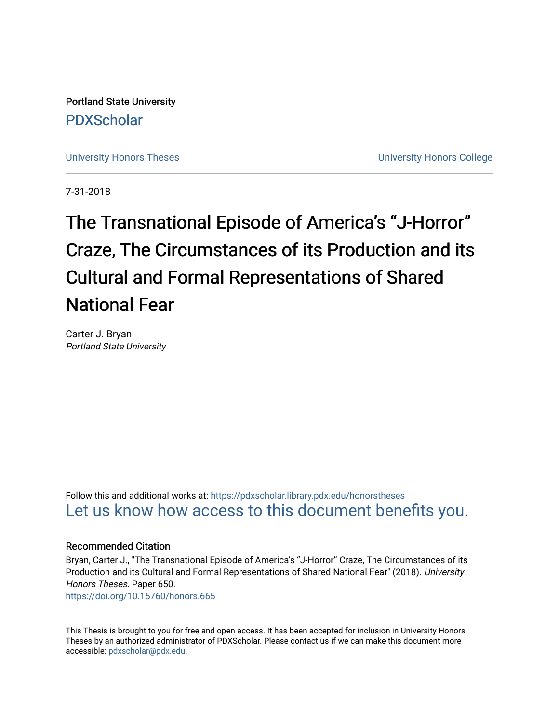Portland State University [PDXScholar](https://pdxscholar.library.pdx.edu/)

[University Honors Theses](https://pdxscholar.library.pdx.edu/honorstheses) **University Honors College** 

7-31-2018

# The Transnational Episode of America's "J-Horror" Craze, The Circumstances of its Production and its Cultural and Formal Representations of Shared National Fear

Carter J. Bryan Portland State University

Follow this and additional works at: [https://pdxscholar.library.pdx.edu/honorstheses](https://pdxscholar.library.pdx.edu/honorstheses?utm_source=pdxscholar.library.pdx.edu%2Fhonorstheses%2F650&utm_medium=PDF&utm_campaign=PDFCoverPages)  [Let us know how access to this document benefits you.](http://library.pdx.edu/services/pdxscholar-services/pdxscholar-feedback/) 

#### Recommended Citation

Bryan, Carter J., "The Transnational Episode of America's "J-Horror" Craze, The Circumstances of its Production and its Cultural and Formal Representations of Shared National Fear" (2018). University Honors Theses. Paper 650. <https://doi.org/10.15760/honors.665>

This Thesis is brought to you for free and open access. It has been accepted for inclusion in University Honors

Theses by an authorized administrator of PDXScholar. Please contact us if we can make this document more accessible: [pdxscholar@pdx.edu.](mailto:pdxscholar@pdx.edu)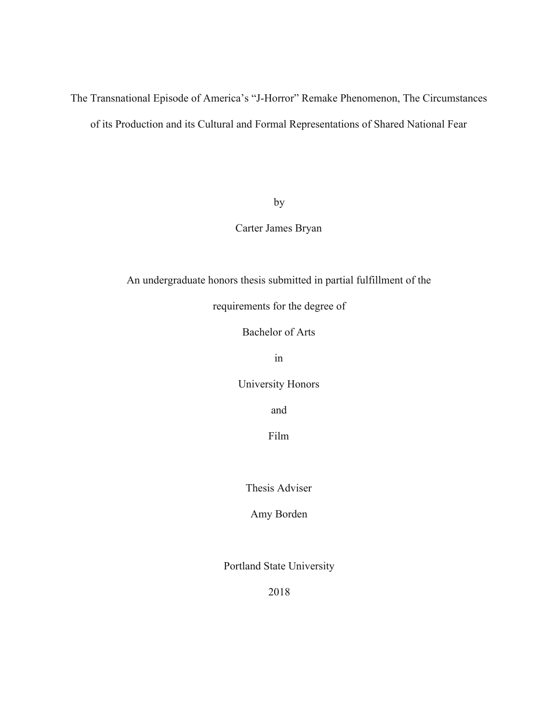# The Transnational Episode of America's "J-Horror" Remake Phenomenon, The Circumstances of its Production and its Cultural and Formal Representations of Shared National Fear

by

Carter James Bryan

An undergraduate honors thesis submitted in partial fulfillment of the

requirements for the degree of

Bachelor of Arts

in

University Honors

and

Film

Thesis Adviser

Amy Borden

Portland State University

2018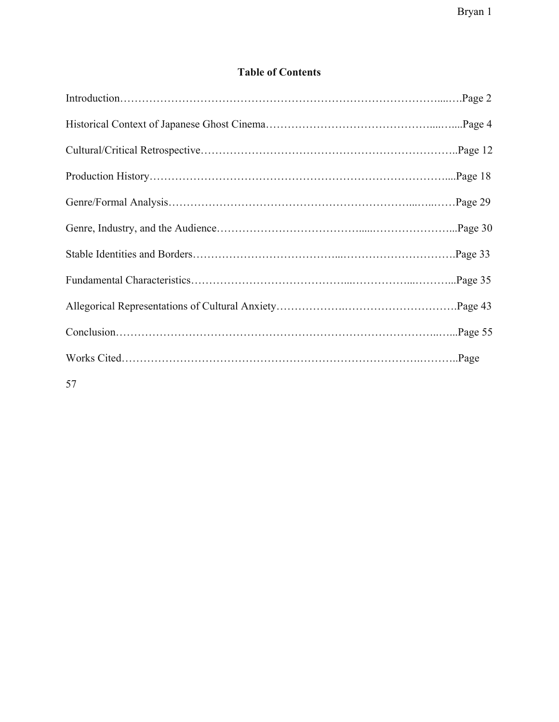# **Table of Contents**

| 57 |  |
|----|--|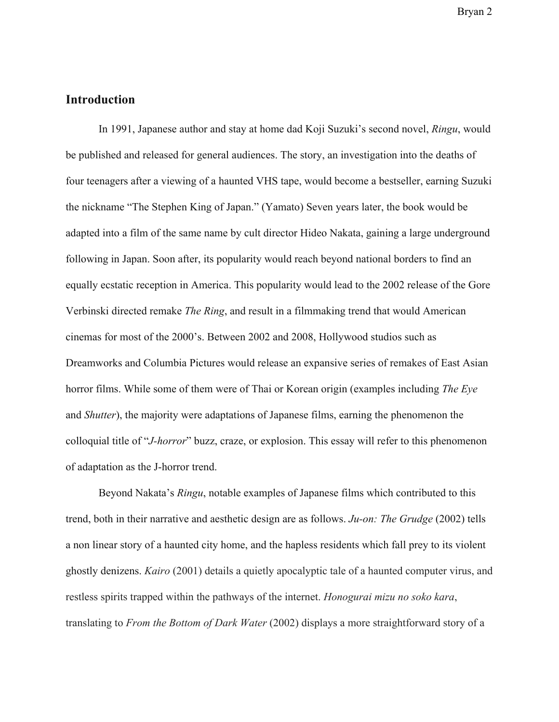#### **Introduction**

In 1991, Japanese author and stay at home dad Koji Suzuki's second novel, *Ringu*, would be published and released for general audiences. The story, an investigation into the deaths of four teenagers after a viewing of a haunted VHS tape, would become a bestseller, earning Suzuki the nickname "The Stephen King of Japan." (Yamato) Seven years later, the book would be adapted into a film of the same name by cult director Hideo Nakata, gaining a large underground following in Japan. Soon after, its popularity would reach beyond national borders to find an equally ecstatic reception in America. This popularity would lead to the 2002 release of the Gore Verbinski directed remake *The Ring*, and result in a filmmaking trend that would American cinemas for most of the 2000's. Between 2002 and 2008, Hollywood studios such as Dreamworks and Columbia Pictures would release an expansive series of remakes of East Asian horror films. While some of them were of Thai or Korean origin (examples including *The Eye* and *Shutter*), the majority were adaptations of Japanese films, earning the phenomenon the colloquial title of "*J-horror*" buzz, craze, or explosion. This essay will refer to this phenomenon of adaptation as the J-horror trend.

Beyond Nakata's *Ringu*, notable examples of Japanese films which contributed to this trend, both in their narrative and aesthetic design are as follows. *Ju-on: The Grudge* (2002) tells a non linear story of a haunted city home, and the hapless residents which fall prey to its violent ghostly denizens. *Kairo* (2001) details a quietly apocalyptic tale of a haunted computer virus, and restless spirits trapped within the pathways of the internet. *Honogurai mizu no soko kara*, translating to *From the Bottom of Dark Water* (2002) displays a more straightforward story of a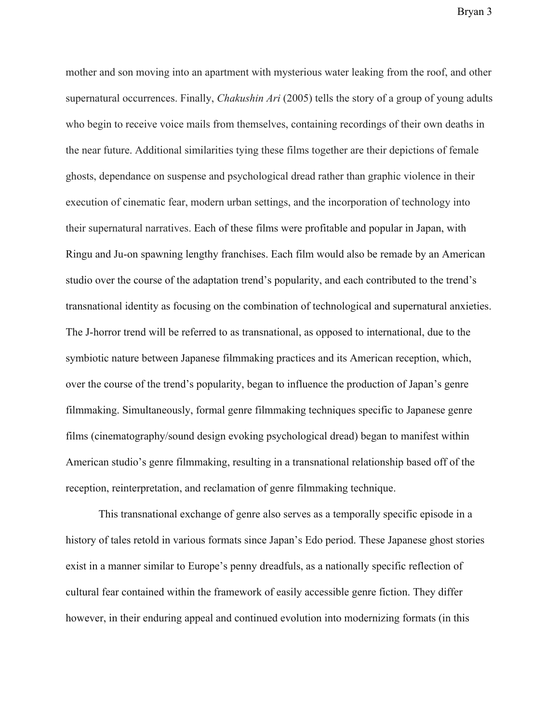mother and son moving into an apartment with mysterious water leaking from the roof, and other supernatural occurrences. Finally, *Chakushin Ari* (2005) tells the story of a group of young adults who begin to receive voice mails from themselves, containing recordings of their own deaths in the near future. Additional similarities tying these films together are their depictions of female ghosts, dependance on suspense and psychological dread rather than graphic violence in their execution of cinematic fear, modern urban settings, and the incorporation of technology into their supernatural narratives. Each of these films were profitable and popular in Japan, with Ringu and Ju-on spawning lengthy franchises. Each film would also be remade by an American studio over the course of the adaptation trend's popularity, and each contributed to the trend's transnational identity as focusing on the combination of technological and supernatural anxieties. The J-horror trend will be referred to as transnational, as opposed to international, due to the symbiotic nature between Japanese filmmaking practices and its American reception, which, over the course of the trend's popularity, began to influence the production of Japan's genre filmmaking. Simultaneously, formal genre filmmaking techniques specific to Japanese genre films (cinematography/sound design evoking psychological dread) began to manifest within American studio's genre filmmaking, resulting in a transnational relationship based off of the reception, reinterpretation, and reclamation of genre filmmaking technique.

This transnational exchange of genre also serves as a temporally specific episode in a history of tales retold in various formats since Japan's Edo period. These Japanese ghost stories exist in a manner similar to Europe's penny dreadfuls, as a nationally specific reflection of cultural fear contained within the framework of easily accessible genre fiction. They differ however, in their enduring appeal and continued evolution into modernizing formats (in this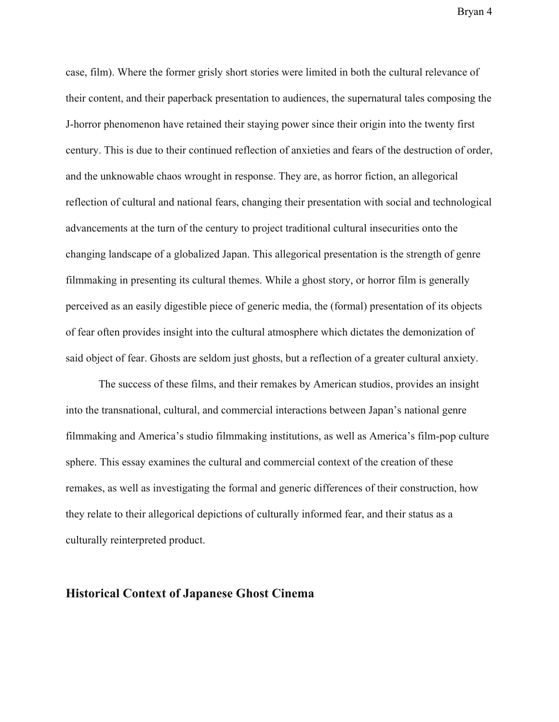case, film). Where the former grisly short stories were limited in both the cultural relevance of their content, and their paperback presentation to audiences, the supernatural tales composing the J-horror phenomenon have retained their staying power since their origin into the twenty first century. This is due to their continued reflection of anxieties and fears of the destruction of order, and the unknowable chaos wrought in response. They are, as horror fiction, an allegorical reflection of cultural and national fears, changing their presentation with social and technological advancements at the turn of the century to project traditional cultural insecurities onto the changing landscape of a globalized Japan. This allegorical presentation is the strength of genre filmmaking in presenting its cultural themes. While a ghost story, or horror film is generally perceived as an easily digestible piece of generic media, the (formal) presentation of its objects of fear often provides insight into the cultural atmosphere which dictates the demonization of said object of fear. Ghosts are seldom just ghosts, but a reflection of a greater cultural anxiety.

The success of these films, and their remakes by American studios, provides an insight into the transnational, cultural, and commercial interactions between Japan's national genre filmmaking and America's studio filmmaking institutions, as well as America's film-pop culture sphere. This essay examines the cultural and commercial context of the creation of these remakes, as well as investigating the formal and generic differences of their construction, how they relate to their allegorical depictions of culturally informed fear, and their status as a culturally reinterpreted product.

### **Historical Context of Japanese Ghost Cinema**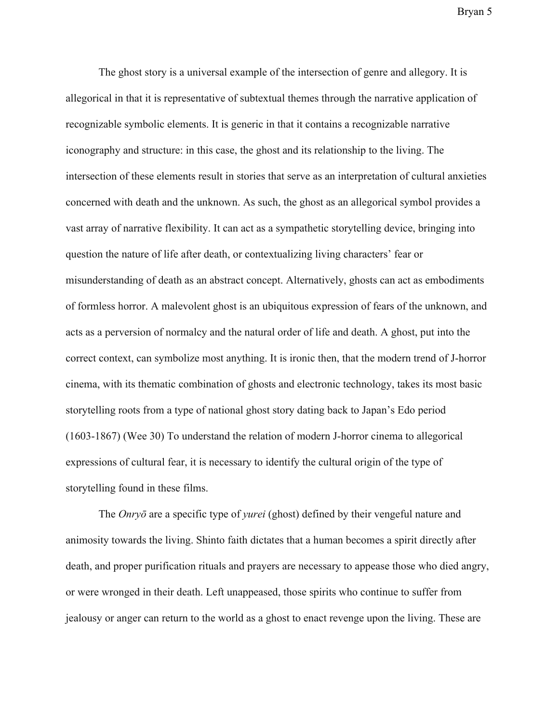The ghost story is a universal example of the intersection of genre and allegory. It is allegorical in that it is representative of subtextual themes through the narrative application of recognizable symbolic elements. It is generic in that it contains a recognizable narrative iconography and structure: in this case, the ghost and its relationship to the living. The intersection of these elements result in stories that serve as an interpretation of cultural anxieties concerned with death and the unknown. As such, the ghost as an allegorical symbol provides a vast array of narrative flexibility. It can act as a sympathetic storytelling device, bringing into question the nature of life after death, or contextualizing living characters' fear or misunderstanding of death as an abstract concept. Alternatively, ghosts can act as embodiments of formless horror. A malevolent ghost is an ubiquitous expression of fears of the unknown, and acts as a perversion of normalcy and the natural order of life and death. A ghost, put into the correct context, can symbolize most anything. It is ironic then, that the modern trend of J-horror cinema, with its thematic combination of ghosts and electronic technology, takes its most basic storytelling roots from a type of national ghost story dating back to Japan's Edo period (1603-1867) (Wee 30) To understand the relation of modern J-horror cinema to allegorical expressions of cultural fear, it is necessary to identify the cultural origin of the type of storytelling found in these films.

The *Onryō* are a specific type of *yurei* (ghost) defined by their vengeful nature and animosity towards the living. Shinto faith dictates that a human becomes a spirit directly after death, and proper purification rituals and prayers are necessary to appease those who died angry, or were wronged in their death. Left unappeased, those spirits who continue to suffer from jealousy or anger can return to the world as a ghost to enact revenge upon the living. These are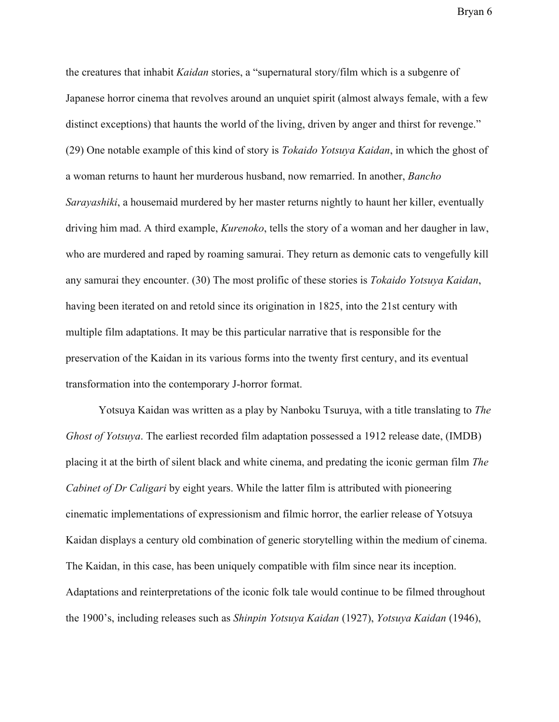the creatures that inhabit *Kaidan* stories, a "supernatural story/film which is a subgenre of Japanese horror cinema that revolves around an unquiet spirit (almost always female, with a few distinct exceptions) that haunts the world of the living, driven by anger and thirst for revenge." (29) One notable example of this kind of story is *Tokaido Yotsuya Kaidan*, in which the ghost of a woman returns to haunt her murderous husband, now remarried. In another, *Bancho Sarayashiki*, a housemaid murdered by her master returns nightly to haunt her killer, eventually driving him mad. A third example, *Kurenoko*, tells the story of a woman and her daugher in law, who are murdered and raped by roaming samurai. They return as demonic cats to vengefully kill any samurai they encounter. (30) The most prolific of these stories is *Tokaido Yotsuya Kaidan*, having been iterated on and retold since its origination in 1825, into the 21st century with multiple film adaptations. It may be this particular narrative that is responsible for the preservation of the Kaidan in its various forms into the twenty first century, and its eventual transformation into the contemporary J-horror format.

Yotsuya Kaidan was written as a play by Nanboku Tsuruya, with a title translating to *The Ghost of Yotsuya*. The earliest recorded film adaptation possessed a 1912 release date, (IMDB) placing it at the birth of silent black and white cinema, and predating the iconic german film *The Cabinet of Dr Caligari* by eight years. While the latter film is attributed with pioneering cinematic implementations of expressionism and filmic horror, the earlier release of Yotsuya Kaidan displays a century old combination of generic storytelling within the medium of cinema. The Kaidan, in this case, has been uniquely compatible with film since near its inception. Adaptations and reinterpretations of the iconic folk tale would continue to be filmed throughout the 1900's, including releases such as *Shinpin Yotsuya Kaidan* (1927), *Yotsuya Kaidan* (1946),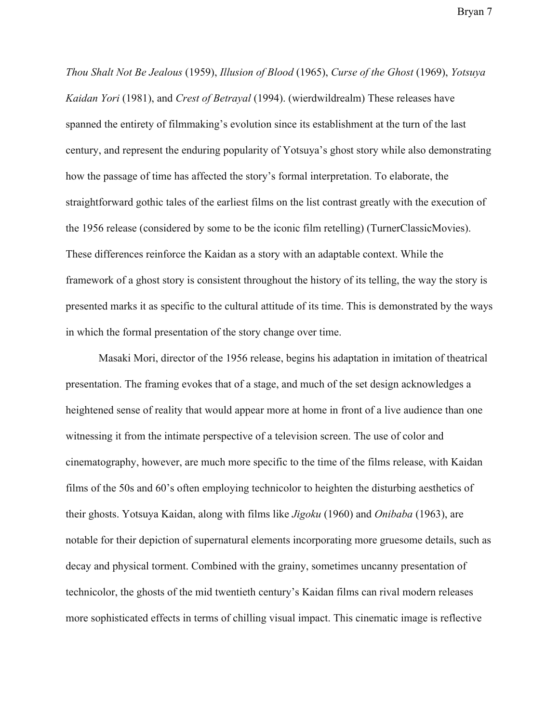*Thou Shalt Not Be Jealous* (1959), *Illusion of Blood* (1965), *Curse of the Ghost* (1969), *Yotsuya Kaidan Yori* (1981), and *Crest of Betrayal* (1994). (wierdwildrealm) These releases have spanned the entirety of filmmaking's evolution since its establishment at the turn of the last century, and represent the enduring popularity of Yotsuya's ghost story while also demonstrating how the passage of time has affected the story's formal interpretation. To elaborate, the straightforward gothic tales of the earliest films on the list contrast greatly with the execution of the 1956 release (considered by some to be the iconic film retelling) (TurnerClassicMovies). These differences reinforce the Kaidan as a story with an adaptable context. While the framework of a ghost story is consistent throughout the history of its telling, the way the story is presented marks it as specific to the cultural attitude of its time. This is demonstrated by the ways in which the formal presentation of the story change over time.

Masaki Mori, director of the 1956 release, begins his adaptation in imitation of theatrical presentation. The framing evokes that of a stage, and much of the set design acknowledges a heightened sense of reality that would appear more at home in front of a live audience than one witnessing it from the intimate perspective of a television screen. The use of color and cinematography, however, are much more specific to the time of the films release, with Kaidan films of the 50s and 60's often employing technicolor to heighten the disturbing aesthetics of their ghosts. Yotsuya Kaidan, along with films like *Jigoku* (1960) and *Onibaba* (1963), are notable for their depiction of supernatural elements incorporating more gruesome details, such as decay and physical torment. Combined with the grainy, sometimes uncanny presentation of technicolor, the ghosts of the mid twentieth century's Kaidan films can rival modern releases more sophisticated effects in terms of chilling visual impact. This cinematic image is reflective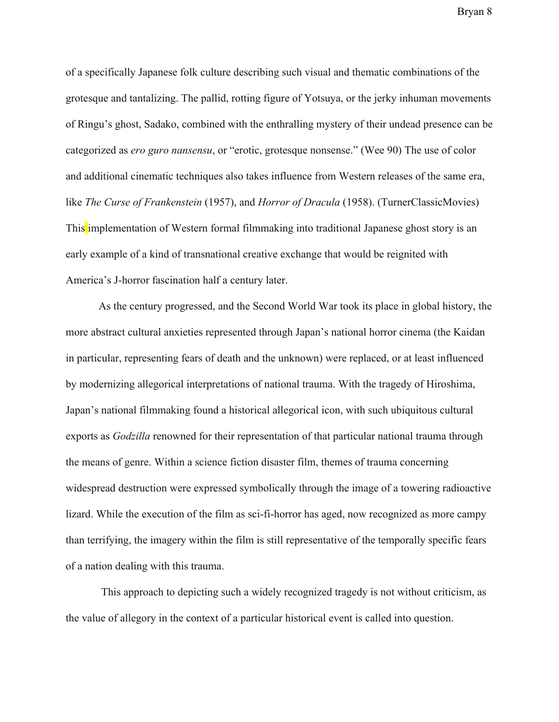of a specifically Japanese folk culture describing such visual and thematic combinations of the grotesque and tantalizing. The pallid, rotting figure of Yotsuya, or the jerky inhuman movements of Ringu's ghost, Sadako, combined with the enthralling mystery of their undead presence can be categorized as *ero guro nansensu*, or "erotic, grotesque nonsense." (Wee 90) The use of color and additional cinematic techniques also takes influence from Western releases of the same era, like *The Curse of Frankenstein* (1957), and *Horror of Dracula* (1958). (TurnerClassicMovies) This implementation of Western formal filmmaking into traditional Japanese ghost story is an early example of a kind of transnational creative exchange that would be reignited with America's J-horror fascination half a century later.

As the century progressed, and the Second World War took its place in global history, the more abstract cultural anxieties represented through Japan's national horror cinema (the Kaidan in particular, representing fears of death and the unknown) were replaced, or at least influenced by modernizing allegorical interpretations of national trauma. With the tragedy of Hiroshima, Japan's national filmmaking found a historical allegorical icon, with such ubiquitous cultural exports as *Godzilla* renowned for their representation of that particular national trauma through the means of genre. Within a science fiction disaster film, themes of trauma concerning widespread destruction were expressed symbolically through the image of a towering radioactive lizard. While the execution of the film as sci-fi-horror has aged, now recognized as more campy than terrifying, the imagery within the film is still representative of the temporally specific fears of a nation dealing with this trauma.

 This approach to depicting such a widely recognized tragedy is not without criticism, as the value of allegory in the context of a particular historical event is called into question.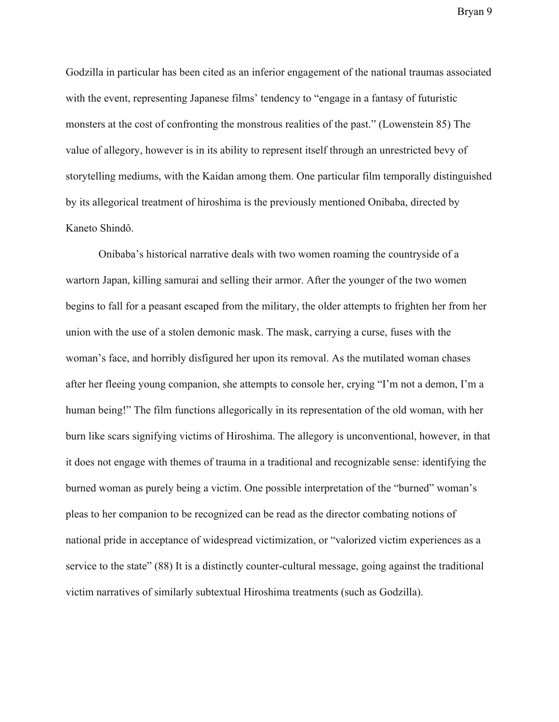Godzilla in particular has been cited as an inferior engagement of the national traumas associated with the event, representing Japanese films' tendency to "engage in a fantasy of futuristic monsters at the cost of confronting the monstrous realities of the past." (Lowenstein 85) The value of allegory, however is in its ability to represent itself through an unrestricted bevy of storytelling mediums, with the Kaidan among them. One particular film temporally distinguished by its allegorical treatment of hiroshima is the previously mentioned Onibaba, directed by Kaneto Shindô.

Onibaba's historical narrative deals with two women roaming the countryside of a wartorn Japan, killing samurai and selling their armor. After the younger of the two women begins to fall for a peasant escaped from the military, the older attempts to frighten her from her union with the use of a stolen demonic mask. The mask, carrying a curse, fuses with the woman's face, and horribly disfigured her upon its removal. As the mutilated woman chases after her fleeing young companion, she attempts to console her, crying "I'm not a demon, I'm a human being!" The film functions allegorically in its representation of the old woman, with her burn like scars signifying victims of Hiroshima. The allegory is unconventional, however, in that it does not engage with themes of trauma in a traditional and recognizable sense: identifying the burned woman as purely being a victim. One possible interpretation of the "burned" woman's pleas to her companion to be recognized can be read as the director combating notions of national pride in acceptance of widespread victimization, or "valorized victim experiences as a service to the state" (88) It is a distinctly counter-cultural message, going against the traditional victim narratives of similarly subtextual Hiroshima treatments (such as Godzilla).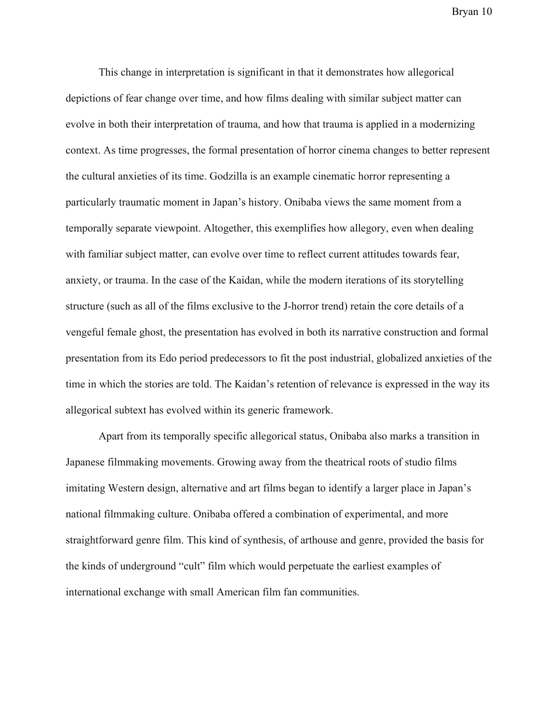This change in interpretation is significant in that it demonstrates how allegorical depictions of fear change over time, and how films dealing with similar subject matter can evolve in both their interpretation of trauma, and how that trauma is applied in a modernizing context. As time progresses, the formal presentation of horror cinema changes to better represent the cultural anxieties of its time. Godzilla is an example cinematic horror representing a particularly traumatic moment in Japan's history. Onibaba views the same moment from a temporally separate viewpoint. Altogether, this exemplifies how allegory, even when dealing with familiar subject matter, can evolve over time to reflect current attitudes towards fear, anxiety, or trauma. In the case of the Kaidan, while the modern iterations of its storytelling structure (such as all of the films exclusive to the J-horror trend) retain the core details of a vengeful female ghost, the presentation has evolved in both its narrative construction and formal presentation from its Edo period predecessors to fit the post industrial, globalized anxieties of the time in which the stories are told. The Kaidan's retention of relevance is expressed in the way its allegorical subtext has evolved within its generic framework.

Apart from its temporally specific allegorical status, Onibaba also marks a transition in Japanese filmmaking movements. Growing away from the theatrical roots of studio films imitating Western design, alternative and art films began to identify a larger place in Japan's national filmmaking culture. Onibaba offered a combination of experimental, and more straightforward genre film. This kind of synthesis, of arthouse and genre, provided the basis for the kinds of underground "cult" film which would perpetuate the earliest examples of international exchange with small American film fan communities.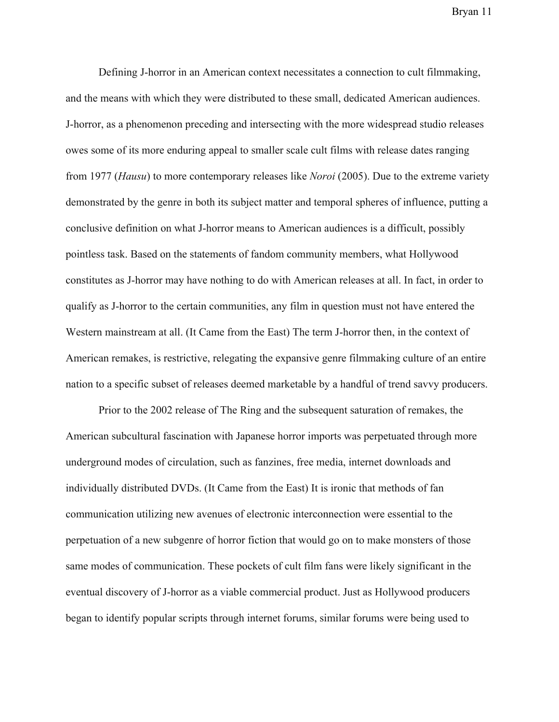Defining J-horror in an American context necessitates a connection to cult filmmaking, and the means with which they were distributed to these small, dedicated American audiences. J-horror, as a phenomenon preceding and intersecting with the more widespread studio releases owes some of its more enduring appeal to smaller scale cult films with release dates ranging from 1977 (*Hausu*) to more contemporary releases like *Noroi* (2005). Due to the extreme variety demonstrated by the genre in both its subject matter and temporal spheres of influence, putting a conclusive definition on what J-horror means to American audiences is a difficult, possibly pointless task. Based on the statements of fandom community members, what Hollywood constitutes as J-horror may have nothing to do with American releases at all. In fact, in order to qualify as J-horror to the certain communities, any film in question must not have entered the Western mainstream at all. (It Came from the East) The term J-horror then, in the context of American remakes, is restrictive, relegating the expansive genre filmmaking culture of an entire nation to a specific subset of releases deemed marketable by a handful of trend savvy producers.

Prior to the 2002 release of The Ring and the subsequent saturation of remakes, the American subcultural fascination with Japanese horror imports was perpetuated through more underground modes of circulation, such as fanzines, free media, internet downloads and individually distributed DVDs. (It Came from the East) It is ironic that methods of fan communication utilizing new avenues of electronic interconnection were essential to the perpetuation of a new subgenre of horror fiction that would go on to make monsters of those same modes of communication. These pockets of cult film fans were likely significant in the eventual discovery of J-horror as a viable commercial product. Just as Hollywood producers began to identify popular scripts through internet forums, similar forums were being used to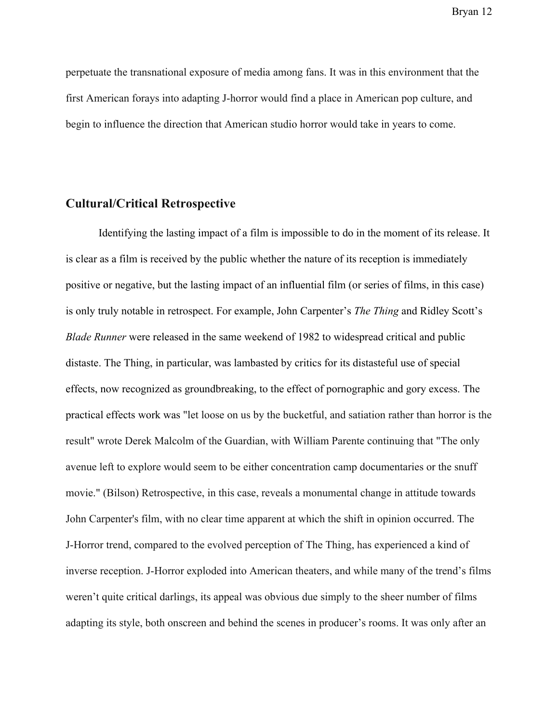perpetuate the transnational exposure of media among fans. It was in this environment that the first American forays into adapting J-horror would find a place in American pop culture, and begin to influence the direction that American studio horror would take in years to come.

#### **Cultural/Critical Retrospective**

Identifying the lasting impact of a film is impossible to do in the moment of its release. It is clear as a film is received by the public whether the nature of its reception is immediately positive or negative, but the lasting impact of an influential film (or series of films, in this case) is only truly notable in retrospect. For example, John Carpenter's *The Thing* and Ridley Scott's *Blade Runner* were released in the same weekend of 1982 to widespread critical and public distaste. The Thing, in particular, was lambasted by critics for its distasteful use of special effects, now recognized as groundbreaking, to the effect of pornographic and gory excess. The practical effects work was "let loose on us by the bucketful, and satiation rather than horror is the result" wrote Derek Malcolm of the Guardian, with William Parente continuing that "The only avenue left to explore would seem to be either concentration camp documentaries or the snuff movie." (Bilson) Retrospective, in this case, reveals a monumental change in attitude towards John Carpenter's film, with no clear time apparent at which the shift in opinion occurred. The J-Horror trend, compared to the evolved perception of The Thing, has experienced a kind of inverse reception. J-Horror exploded into American theaters, and while many of the trend's films weren't quite critical darlings, its appeal was obvious due simply to the sheer number of films adapting its style, both onscreen and behind the scenes in producer's rooms. It was only after an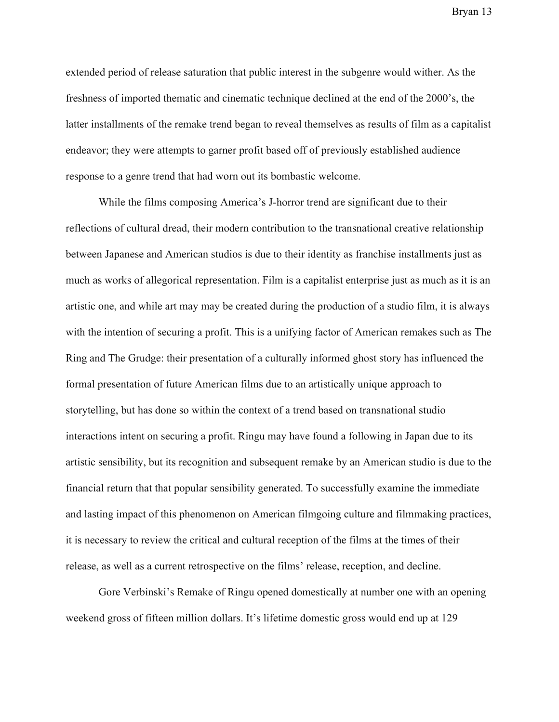extended period of release saturation that public interest in the subgenre would wither. As the freshness of imported thematic and cinematic technique declined at the end of the 2000's, the latter installments of the remake trend began to reveal themselves as results of film as a capitalist endeavor; they were attempts to garner profit based off of previously established audience response to a genre trend that had worn out its bombastic welcome.

While the films composing America's J-horror trend are significant due to their reflections of cultural dread, their modern contribution to the transnational creative relationship between Japanese and American studios is due to their identity as franchise installments just as much as works of allegorical representation. Film is a capitalist enterprise just as much as it is an artistic one, and while art may may be created during the production of a studio film, it is always with the intention of securing a profit. This is a unifying factor of American remakes such as The Ring and The Grudge: their presentation of a culturally informed ghost story has influenced the formal presentation of future American films due to an artistically unique approach to storytelling, but has done so within the context of a trend based on transnational studio interactions intent on securing a profit. Ringu may have found a following in Japan due to its artistic sensibility, but its recognition and subsequent remake by an American studio is due to the financial return that that popular sensibility generated. To successfully examine the immediate and lasting impact of this phenomenon on American filmgoing culture and filmmaking practices, it is necessary to review the critical and cultural reception of the films at the times of their release, as well as a current retrospective on the films' release, reception, and decline.

Gore Verbinski's Remake of Ringu opened domestically at number one with an opening weekend gross of fifteen million dollars. It's lifetime domestic gross would end up at 129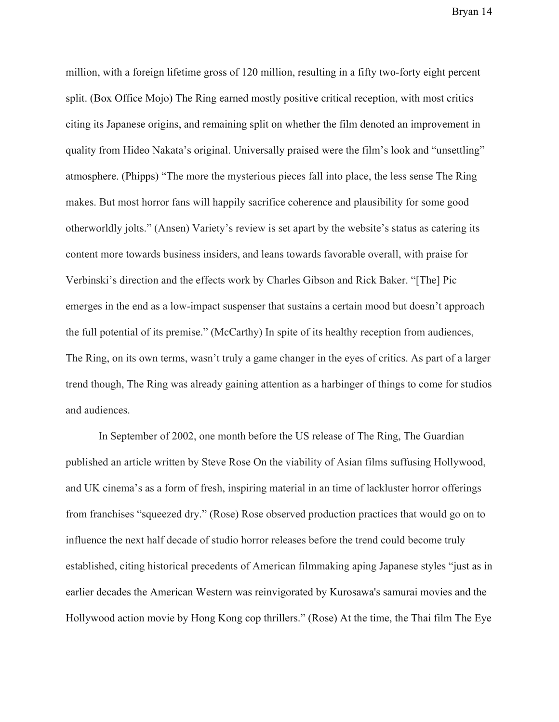million, with a foreign lifetime gross of 120 million, resulting in a fifty two-forty eight percent split. (Box Office Mojo) The Ring earned mostly positive critical reception, with most critics citing its Japanese origins, and remaining split on whether the film denoted an improvement in quality from Hideo Nakata's original. Universally praised were the film's look and "unsettling" atmosphere. (Phipps) "The more the mysterious pieces fall into place, the less sense The Ring makes. But most horror fans will happily sacrifice coherence and plausibility for some good otherworldly jolts." (Ansen) Variety's review is set apart by the website's status as catering its content more towards business insiders, and leans towards favorable overall, with praise for Verbinski's direction and the effects work by Charles Gibson and Rick Baker. "[The] Pic emerges in the end as a low-impact suspenser that sustains a certain mood but doesn't approach the full potential of its premise." (McCarthy) In spite of its healthy reception from audiences, The Ring, on its own terms, wasn't truly a game changer in the eyes of critics. As part of a larger trend though, The Ring was already gaining attention as a harbinger of things to come for studios and audiences.

In September of 2002, one month before the US release of The Ring, The Guardian published an article written by Steve Rose On the viability of Asian films suffusing Hollywood, and UK cinema's as a form of fresh, inspiring material in an time of lackluster horror offerings from franchises "squeezed dry." (Rose) Rose observed production practices that would go on to influence the next half decade of studio horror releases before the trend could become truly established, citing historical precedents of American filmmaking aping Japanese styles "just as in earlier decades the American Western was reinvigorated by Kurosawa's samurai movies and the Hollywood action movie by Hong Kong cop thrillers." (Rose) At the time, the Thai film The Eye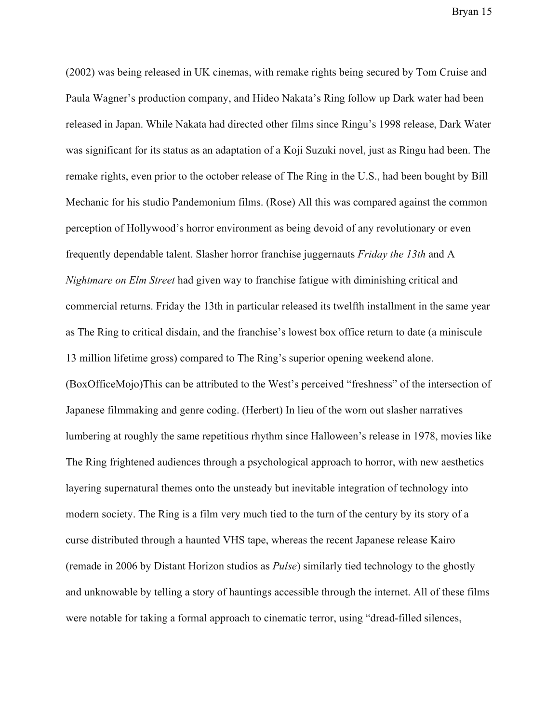(2002) was being released in UK cinemas, with remake rights being secured by Tom Cruise and Paula Wagner's production company, and Hideo Nakata's Ring follow up Dark water had been released in Japan. While Nakata had directed other films since Ringu's 1998 release, Dark Water was significant for its status as an adaptation of a Koji Suzuki novel, just as Ringu had been. The remake rights, even prior to the october release of The Ring in the U.S., had been bought by Bill Mechanic for his studio Pandemonium films. (Rose) All this was compared against the common perception of Hollywood's horror environment as being devoid of any revolutionary or even frequently dependable talent. Slasher horror franchise juggernauts *Friday the 13th* and A *Nightmare on Elm Street* had given way to franchise fatigue with diminishing critical and commercial returns. Friday the 13th in particular released its twelfth installment in the same year as The Ring to critical disdain, and the franchise's lowest box office return to date (a miniscule 13 million lifetime gross) compared to The Ring's superior opening weekend alone. (BoxOfficeMojo)This can be attributed to the West's perceived "freshness" of the intersection of Japanese filmmaking and genre coding. (Herbert) In lieu of the worn out slasher narratives lumbering at roughly the same repetitious rhythm since Halloween's release in 1978, movies like The Ring frightened audiences through a psychological approach to horror, with new aesthetics layering supernatural themes onto the unsteady but inevitable integration of technology into modern society. The Ring is a film very much tied to the turn of the century by its story of a curse distributed through a haunted VHS tape, whereas the recent Japanese release Kairo (remade in 2006 by Distant Horizon studios as *Pulse*) similarly tied technology to the ghostly and unknowable by telling a story of hauntings accessible through the internet. All of these films were notable for taking a formal approach to cinematic terror, using "dread-filled silences,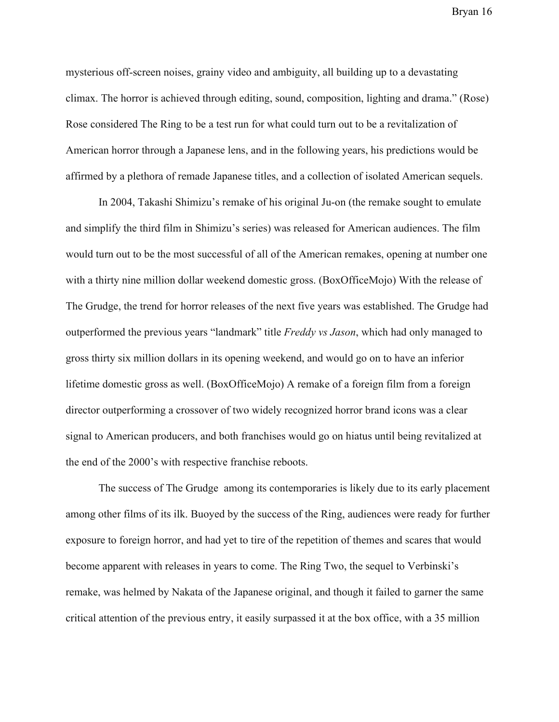mysterious off-screen noises, grainy video and ambiguity, all building up to a devastating climax. The horror is achieved through editing, sound, composition, lighting and drama." (Rose) Rose considered The Ring to be a test run for what could turn out to be a revitalization of American horror through a Japanese lens, and in the following years, his predictions would be affirmed by a plethora of remade Japanese titles, and a collection of isolated American sequels.

In 2004, Takashi Shimizu's remake of his original Ju-on (the remake sought to emulate and simplify the third film in Shimizu's series) was released for American audiences. The film would turn out to be the most successful of all of the American remakes, opening at number one with a thirty nine million dollar weekend domestic gross. (BoxOfficeMojo) With the release of The Grudge, the trend for horror releases of the next five years was established. The Grudge had outperformed the previous years "landmark" title *Freddy vs Jason*, which had only managed to gross thirty six million dollars in its opening weekend, and would go on to have an inferior lifetime domestic gross as well. (BoxOfficeMojo) A remake of a foreign film from a foreign director outperforming a crossover of two widely recognized horror brand icons was a clear signal to American producers, and both franchises would go on hiatus until being revitalized at the end of the 2000's with respective franchise reboots.

The success of The Grudge among its contemporaries is likely due to its early placement among other films of its ilk. Buoyed by the success of the Ring, audiences were ready for further exposure to foreign horror, and had yet to tire of the repetition of themes and scares that would become apparent with releases in years to come. The Ring Two, the sequel to Verbinski's remake, was helmed by Nakata of the Japanese original, and though it failed to garner the same critical attention of the previous entry, it easily surpassed it at the box office, with a 35 million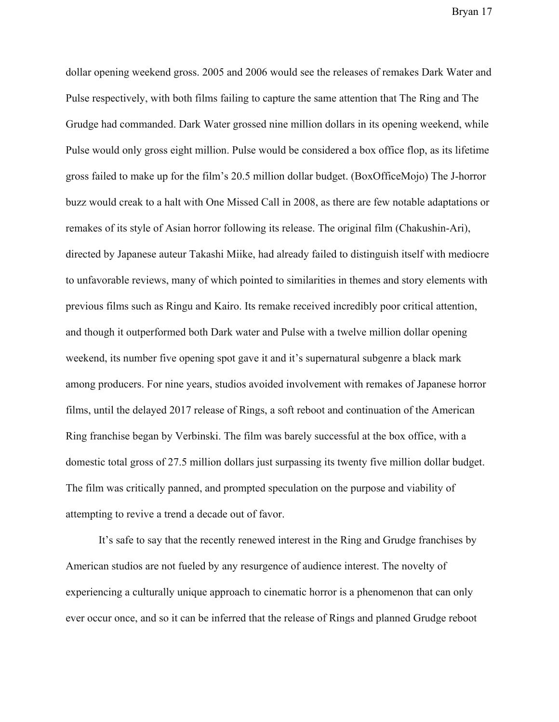dollar opening weekend gross. 2005 and 2006 would see the releases of remakes Dark Water and Pulse respectively, with both films failing to capture the same attention that The Ring and The Grudge had commanded. Dark Water grossed nine million dollars in its opening weekend, while Pulse would only gross eight million. Pulse would be considered a box office flop, as its lifetime gross failed to make up for the film's 20.5 million dollar budget. (BoxOfficeMojo) The J-horror buzz would creak to a halt with One Missed Call in 2008, as there are few notable adaptations or remakes of its style of Asian horror following its release. The original film (Chakushin-Ari), directed by Japanese auteur Takashi Miike, had already failed to distinguish itself with mediocre to unfavorable reviews, many of which pointed to similarities in themes and story elements with previous films such as Ringu and Kairo. Its remake received incredibly poor critical attention, and though it outperformed both Dark water and Pulse with a twelve million dollar opening weekend, its number five opening spot gave it and it's supernatural subgenre a black mark among producers. For nine years, studios avoided involvement with remakes of Japanese horror films, until the delayed 2017 release of Rings, a soft reboot and continuation of the American Ring franchise began by Verbinski. The film was barely successful at the box office, with a domestic total gross of 27.5 million dollars just surpassing its twenty five million dollar budget. The film was critically panned, and prompted speculation on the purpose and viability of attempting to revive a trend a decade out of favor.

It's safe to say that the recently renewed interest in the Ring and Grudge franchises by American studios are not fueled by any resurgence of audience interest. The novelty of experiencing a culturally unique approach to cinematic horror is a phenomenon that can only ever occur once, and so it can be inferred that the release of Rings and planned Grudge reboot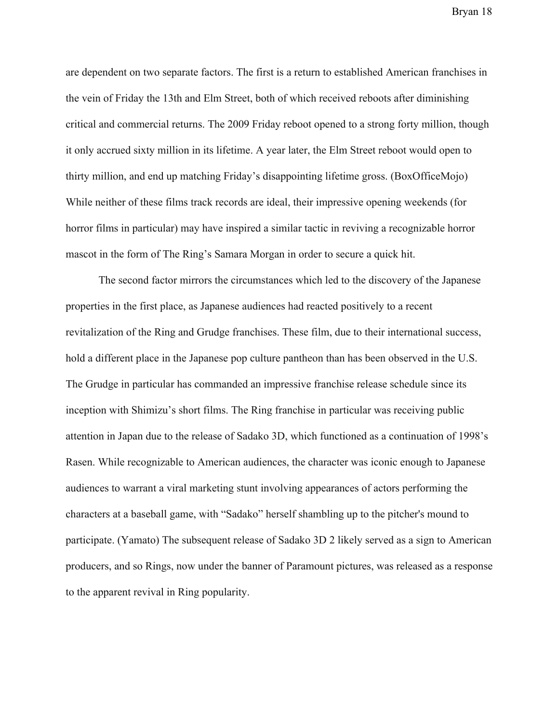are dependent on two separate factors. The first is a return to established American franchises in the vein of Friday the 13th and Elm Street, both of which received reboots after diminishing critical and commercial returns. The 2009 Friday reboot opened to a strong forty million, though it only accrued sixty million in its lifetime. A year later, the Elm Street reboot would open to thirty million, and end up matching Friday's disappointing lifetime gross. (BoxOfficeMojo) While neither of these films track records are ideal, their impressive opening weekends (for horror films in particular) may have inspired a similar tactic in reviving a recognizable horror mascot in the form of The Ring's Samara Morgan in order to secure a quick hit.

The second factor mirrors the circumstances which led to the discovery of the Japanese properties in the first place, as Japanese audiences had reacted positively to a recent revitalization of the Ring and Grudge franchises. These film, due to their international success, hold a different place in the Japanese pop culture pantheon than has been observed in the U.S. The Grudge in particular has commanded an impressive franchise release schedule since its inception with Shimizu's short films. The Ring franchise in particular was receiving public attention in Japan due to the release of Sadako 3D, which functioned as a continuation of 1998's Rasen. While recognizable to American audiences, the character was iconic enough to Japanese audiences to warrant a viral marketing stunt involving appearances of actors performing the characters at a baseball game, with "Sadako" herself shambling up to the pitcher's mound to participate. (Yamato) The subsequent release of Sadako 3D 2 likely served as a sign to American producers, and so Rings, now under the banner of Paramount pictures, was released as a response to the apparent revival in Ring popularity.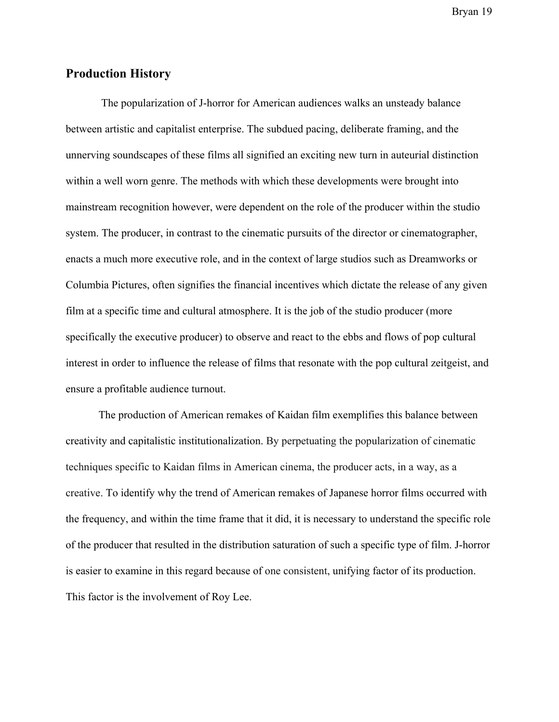#### **Production History**

 The popularization of J-horror for American audiences walks an unsteady balance between artistic and capitalist enterprise. The subdued pacing, deliberate framing, and the unnerving soundscapes of these films all signified an exciting new turn in auteurial distinction within a well worn genre. The methods with which these developments were brought into mainstream recognition however, were dependent on the role of the producer within the studio system. The producer, in contrast to the cinematic pursuits of the director or cinematographer, enacts a much more executive role, and in the context of large studios such as Dreamworks or Columbia Pictures, often signifies the financial incentives which dictate the release of any given film at a specific time and cultural atmosphere. It is the job of the studio producer (more specifically the executive producer) to observe and react to the ebbs and flows of pop cultural interest in order to influence the release of films that resonate with the pop cultural zeitgeist, and ensure a profitable audience turnout.

The production of American remakes of Kaidan film exemplifies this balance between creativity and capitalistic institutionalization. By perpetuating the popularization of cinematic techniques specific to Kaidan films in American cinema, the producer acts, in a way, as a creative. To identify why the trend of American remakes of Japanese horror films occurred with the frequency, and within the time frame that it did, it is necessary to understand the specific role of the producer that resulted in the distribution saturation of such a specific type of film. J-horror is easier to examine in this regard because of one consistent, unifying factor of its production. This factor is the involvement of Roy Lee.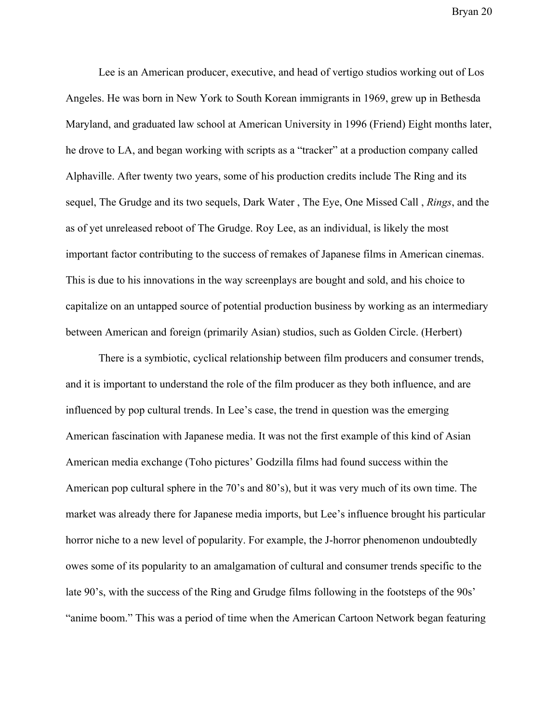Lee is an American producer, executive, and head of vertigo studios working out of Los Angeles. He was born in New York to South Korean immigrants in 1969, grew up in Bethesda Maryland, and graduated law school at American University in 1996 (Friend) Eight months later, he drove to LA, and began working with scripts as a "tracker" at a production company called Alphaville. After twenty two years, some of his production credits include The Ring and its sequel, The Grudge and its two sequels, Dark Water , The Eye, One Missed Call , *Rings*, and the as of yet unreleased reboot of The Grudge. Roy Lee, as an individual, is likely the most important factor contributing to the success of remakes of Japanese films in American cinemas. This is due to his innovations in the way screenplays are bought and sold, and his choice to capitalize on an untapped source of potential production business by working as an intermediary between American and foreign (primarily Asian) studios, such as Golden Circle. (Herbert)

There is a symbiotic, cyclical relationship between film producers and consumer trends, and it is important to understand the role of the film producer as they both influence, and are influenced by pop cultural trends. In Lee's case, the trend in question was the emerging American fascination with Japanese media. It was not the first example of this kind of Asian American media exchange (Toho pictures' Godzilla films had found success within the American pop cultural sphere in the 70's and 80's), but it was very much of its own time. The market was already there for Japanese media imports, but Lee's influence brought his particular horror niche to a new level of popularity. For example, the J-horror phenomenon undoubtedly owes some of its popularity to an amalgamation of cultural and consumer trends specific to the late 90's, with the success of the Ring and Grudge films following in the footsteps of the 90s' "anime boom." This was a period of time when the American Cartoon Network began featuring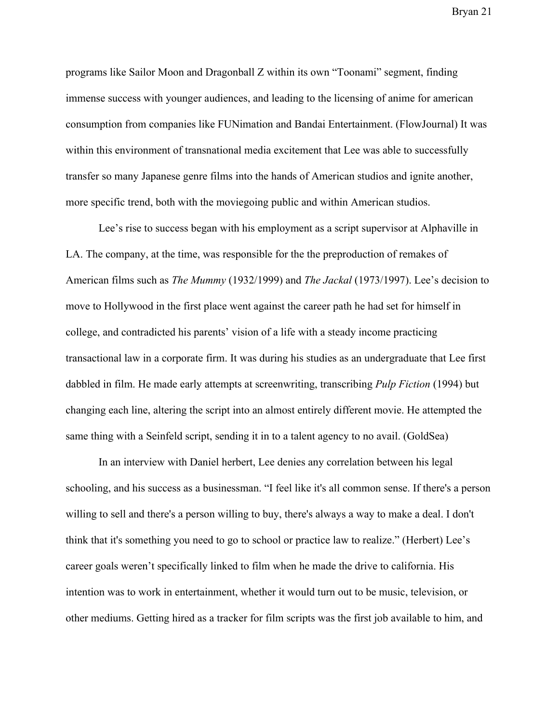programs like Sailor Moon and Dragonball Z within its own "Toonami" segment, finding immense success with younger audiences, and leading to the licensing of anime for american consumption from companies like FUNimation and Bandai Entertainment. (FlowJournal) It was within this environment of transnational media excitement that Lee was able to successfully transfer so many Japanese genre films into the hands of American studios and ignite another, more specific trend, both with the moviegoing public and within American studios.

Lee's rise to success began with his employment as a script supervisor at Alphaville in LA. The company, at the time, was responsible for the the preproduction of remakes of American films such as *The Mummy* (1932/1999) and *The Jackal* (1973/1997). Lee's decision to move to Hollywood in the first place went against the career path he had set for himself in college, and contradicted his parents' vision of a life with a steady income practicing transactional law in a corporate firm. It was during his studies as an undergraduate that Lee first dabbled in film. He made early attempts at screenwriting, transcribing *Pulp Fiction* (1994) but changing each line, altering the script into an almost entirely different movie. He attempted the same thing with a Seinfeld script, sending it in to a talent agency to no avail. (GoldSea)

In an interview with Daniel herbert, Lee denies any correlation between his legal schooling, and his success as a businessman. "I feel like it's all common sense. If there's a person willing to sell and there's a person willing to buy, there's always a way to make a deal. I don't think that it's something you need to go to school or practice law to realize." (Herbert) Lee's career goals weren't specifically linked to film when he made the drive to california. His intention was to work in entertainment, whether it would turn out to be music, television, or other mediums. Getting hired as a tracker for film scripts was the first job available to him, and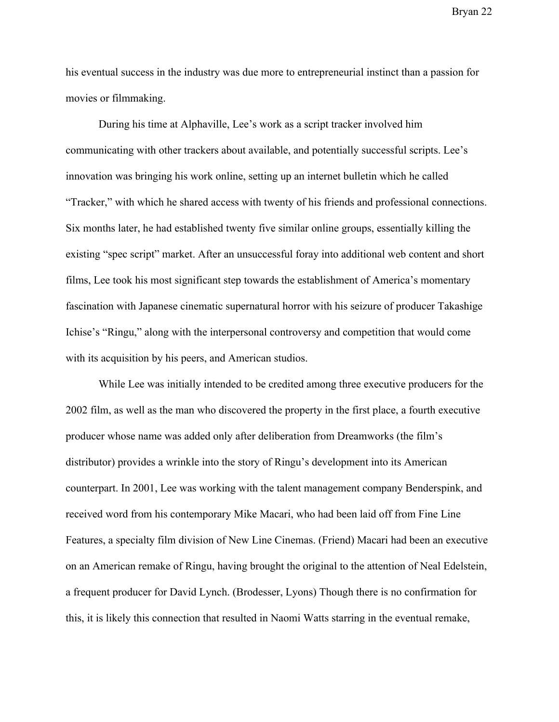his eventual success in the industry was due more to entrepreneurial instinct than a passion for movies or filmmaking.

During his time at Alphaville, Lee's work as a script tracker involved him communicating with other trackers about available, and potentially successful scripts. Lee's innovation was bringing his work online, setting up an internet bulletin which he called "Tracker," with which he shared access with twenty of his friends and professional connections. Six months later, he had established twenty five similar online groups, essentially killing the existing "spec script" market. After an unsuccessful foray into additional web content and short films, Lee took his most significant step towards the establishment of America's momentary fascination with Japanese cinematic supernatural horror with his seizure of producer Takashige Ichise's "Ringu," along with the interpersonal controversy and competition that would come with its acquisition by his peers, and American studios.

While Lee was initially intended to be credited among three executive producers for the 2002 film, as well as the man who discovered the property in the first place, a fourth executive producer whose name was added only after deliberation from Dreamworks (the film's distributor) provides a wrinkle into the story of Ringu's development into its American counterpart. In 2001, Lee was working with the talent management company Benderspink, and received word from his contemporary Mike Macari, who had been laid off from Fine Line Features, a specialty film division of New Line Cinemas. (Friend) Macari had been an executive on an American remake of Ringu, having brought the original to the attention of Neal Edelstein, a frequent producer for David Lynch. (Brodesser, Lyons) Though there is no confirmation for this, it is likely this connection that resulted in Naomi Watts starring in the eventual remake,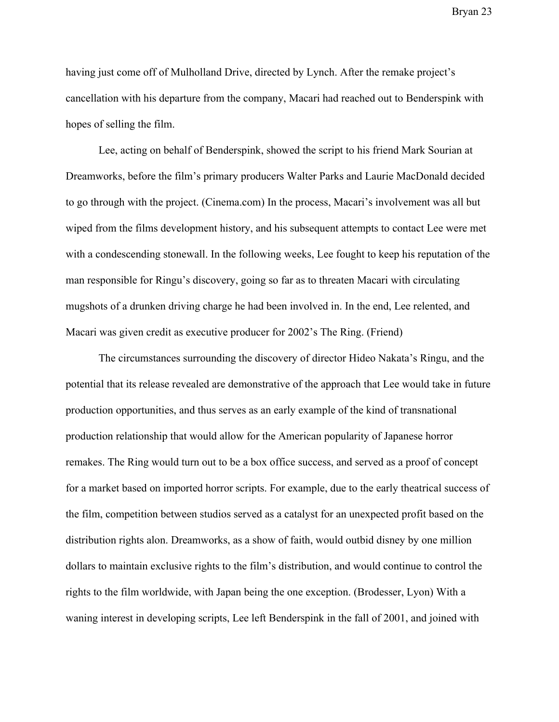having just come off of Mulholland Drive, directed by Lynch. After the remake project's cancellation with his departure from the company, Macari had reached out to Benderspink with hopes of selling the film.

Lee, acting on behalf of Benderspink, showed the script to his friend Mark Sourian at Dreamworks, before the film's primary producers Walter Parks and Laurie MacDonald decided to go through with the project. (Cinema.com) In the process, Macari's involvement was all but wiped from the films development history, and his subsequent attempts to contact Lee were met with a condescending stonewall. In the following weeks, Lee fought to keep his reputation of the man responsible for Ringu's discovery, going so far as to threaten Macari with circulating mugshots of a drunken driving charge he had been involved in. In the end, Lee relented, and Macari was given credit as executive producer for 2002's The Ring. (Friend)

The circumstances surrounding the discovery of director Hideo Nakata's Ringu, and the potential that its release revealed are demonstrative of the approach that Lee would take in future production opportunities, and thus serves as an early example of the kind of transnational production relationship that would allow for the American popularity of Japanese horror remakes. The Ring would turn out to be a box office success, and served as a proof of concept for a market based on imported horror scripts. For example, due to the early theatrical success of the film, competition between studios served as a catalyst for an unexpected profit based on the distribution rights alon. Dreamworks, as a show of faith, would outbid disney by one million dollars to maintain exclusive rights to the film's distribution, and would continue to control the rights to the film worldwide, with Japan being the one exception. (Brodesser, Lyon) With a waning interest in developing scripts, Lee left Benderspink in the fall of 2001, and joined with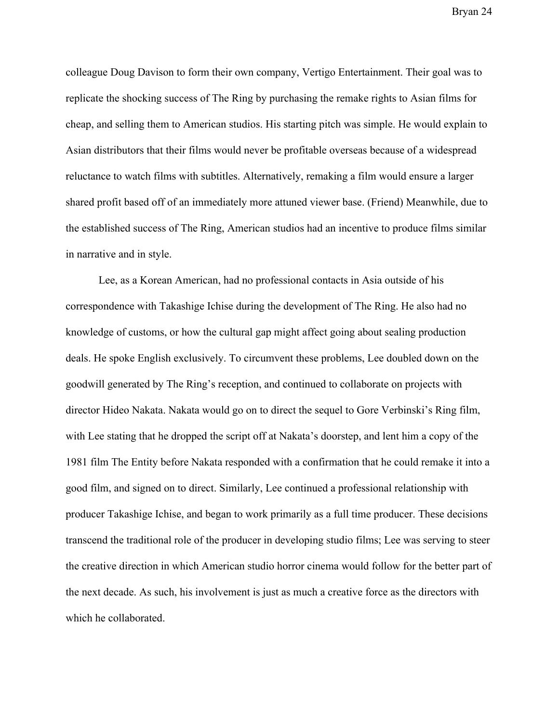colleague Doug Davison to form their own company, Vertigo Entertainment. Their goal was to replicate the shocking success of The Ring by purchasing the remake rights to Asian films for cheap, and selling them to American studios. His starting pitch was simple. He would explain to Asian distributors that their films would never be profitable overseas because of a widespread reluctance to watch films with subtitles. Alternatively, remaking a film would ensure a larger shared profit based off of an immediately more attuned viewer base. (Friend) Meanwhile, due to the established success of The Ring, American studios had an incentive to produce films similar in narrative and in style.

Lee, as a Korean American, had no professional contacts in Asia outside of his correspondence with Takashige Ichise during the development of The Ring. He also had no knowledge of customs, or how the cultural gap might affect going about sealing production deals. He spoke English exclusively. To circumvent these problems, Lee doubled down on the goodwill generated by The Ring's reception, and continued to collaborate on projects with director Hideo Nakata. Nakata would go on to direct the sequel to Gore Verbinski's Ring film, with Lee stating that he dropped the script off at Nakata's doorstep, and lent him a copy of the 1981 film The Entity before Nakata responded with a confirmation that he could remake it into a good film, and signed on to direct. Similarly, Lee continued a professional relationship with producer Takashige Ichise, and began to work primarily as a full time producer. These decisions transcend the traditional role of the producer in developing studio films; Lee was serving to steer the creative direction in which American studio horror cinema would follow for the better part of the next decade. As such, his involvement is just as much a creative force as the directors with which he collaborated.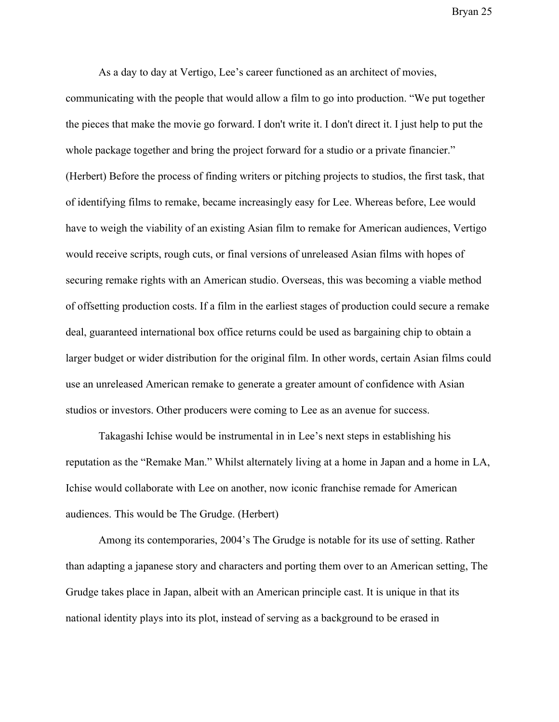As a day to day at Vertigo, Lee's career functioned as an architect of movies,

communicating with the people that would allow a film to go into production. "We put together the pieces that make the movie go forward. I don't write it. I don't direct it. I just help to put the whole package together and bring the project forward for a studio or a private financier." (Herbert) Before the process of finding writers or pitching projects to studios, the first task, that of identifying films to remake, became increasingly easy for Lee. Whereas before, Lee would have to weigh the viability of an existing Asian film to remake for American audiences, Vertigo would receive scripts, rough cuts, or final versions of unreleased Asian films with hopes of securing remake rights with an American studio. Overseas, this was becoming a viable method of offsetting production costs. If a film in the earliest stages of production could secure a remake deal, guaranteed international box office returns could be used as bargaining chip to obtain a larger budget or wider distribution for the original film. In other words, certain Asian films could use an unreleased American remake to generate a greater amount of confidence with Asian studios or investors. Other producers were coming to Lee as an avenue for success.

Takagashi Ichise would be instrumental in in Lee's next steps in establishing his reputation as the "Remake Man." Whilst alternately living at a home in Japan and a home in LA, Ichise would collaborate with Lee on another, now iconic franchise remade for American audiences. This would be The Grudge. (Herbert)

Among its contemporaries, 2004's The Grudge is notable for its use of setting. Rather than adapting a japanese story and characters and porting them over to an American setting, The Grudge takes place in Japan, albeit with an American principle cast. It is unique in that its national identity plays into its plot, instead of serving as a background to be erased in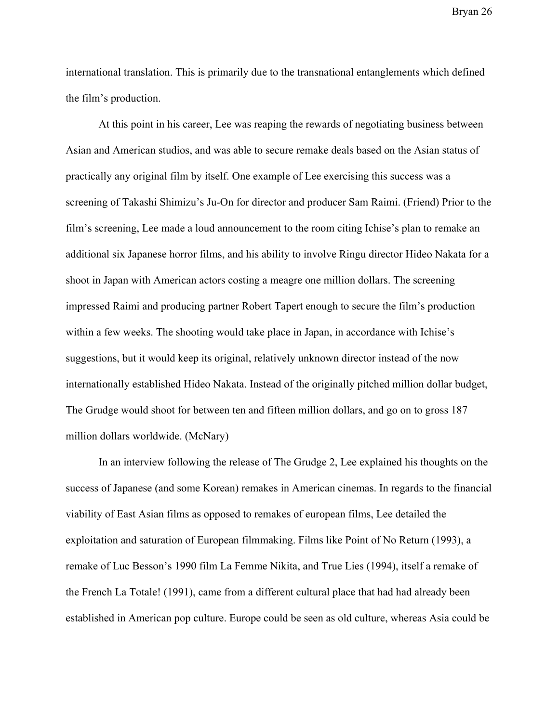international translation. This is primarily due to the transnational entanglements which defined the film's production.

At this point in his career, Lee was reaping the rewards of negotiating business between Asian and American studios, and was able to secure remake deals based on the Asian status of practically any original film by itself. One example of Lee exercising this success was a screening of Takashi Shimizu's Ju-On for director and producer Sam Raimi. (Friend) Prior to the film's screening, Lee made a loud announcement to the room citing Ichise's plan to remake an additional six Japanese horror films, and his ability to involve Ringu director Hideo Nakata for a shoot in Japan with American actors costing a meagre one million dollars. The screening impressed Raimi and producing partner Robert Tapert enough to secure the film's production within a few weeks. The shooting would take place in Japan, in accordance with Ichise's suggestions, but it would keep its original, relatively unknown director instead of the now internationally established Hideo Nakata. Instead of the originally pitched million dollar budget, The Grudge would shoot for between ten and fifteen million dollars, and go on to gross 187 million dollars worldwide. (McNary)

In an interview following the release of The Grudge 2, Lee explained his thoughts on the success of Japanese (and some Korean) remakes in American cinemas. In regards to the financial viability of East Asian films as opposed to remakes of european films, Lee detailed the exploitation and saturation of European filmmaking. Films like Point of No Return (1993), a remake of Luc Besson's 1990 film La Femme Nikita, and True Lies (1994), itself a remake of the French La Totale! (1991), came from a different cultural place that had had already been established in American pop culture. Europe could be seen as old culture, whereas Asia could be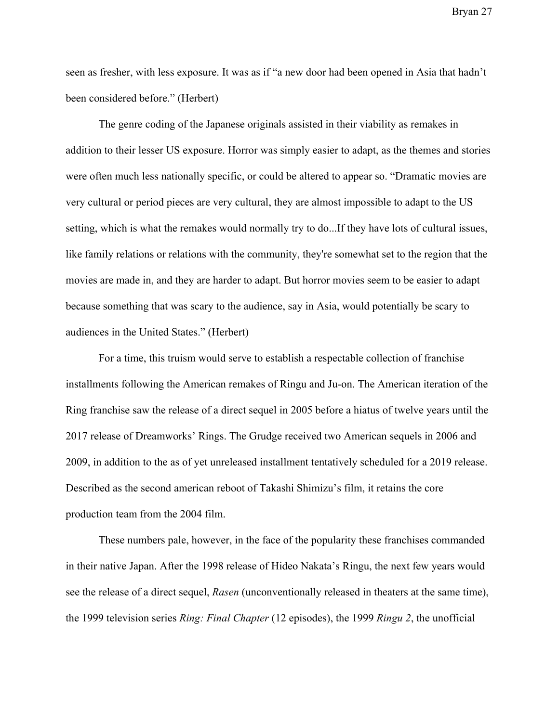seen as fresher, with less exposure. It was as if "a new door had been opened in Asia that hadn't been considered before." (Herbert)

The genre coding of the Japanese originals assisted in their viability as remakes in addition to their lesser US exposure. Horror was simply easier to adapt, as the themes and stories were often much less nationally specific, or could be altered to appear so. "Dramatic movies are very cultural or period pieces are very cultural, they are almost impossible to adapt to the US setting, which is what the remakes would normally try to do...If they have lots of cultural issues, like family relations or relations with the community, they're somewhat set to the region that the movies are made in, and they are harder to adapt. But horror movies seem to be easier to adapt because something that was scary to the audience, say in Asia, would potentially be scary to audiences in the United States." (Herbert)

For a time, this truism would serve to establish a respectable collection of franchise installments following the American remakes of Ringu and Ju-on. The American iteration of the Ring franchise saw the release of a direct sequel in 2005 before a hiatus of twelve years until the 2017 release of Dreamworks' Rings. The Grudge received two American sequels in 2006 and 2009, in addition to the as of yet unreleased installment tentatively scheduled for a 2019 release. Described as the second american reboot of Takashi Shimizu's film, it retains the core production team from the 2004 film.

These numbers pale, however, in the face of the popularity these franchises commanded in their native Japan. After the 1998 release of Hideo Nakata's Ringu, the next few years would see the release of a direct sequel, *Rasen* (unconventionally released in theaters at the same time), the 1999 television series *Ring: Final Chapter* (12 episodes), the 1999 *Ringu 2*, the unofficial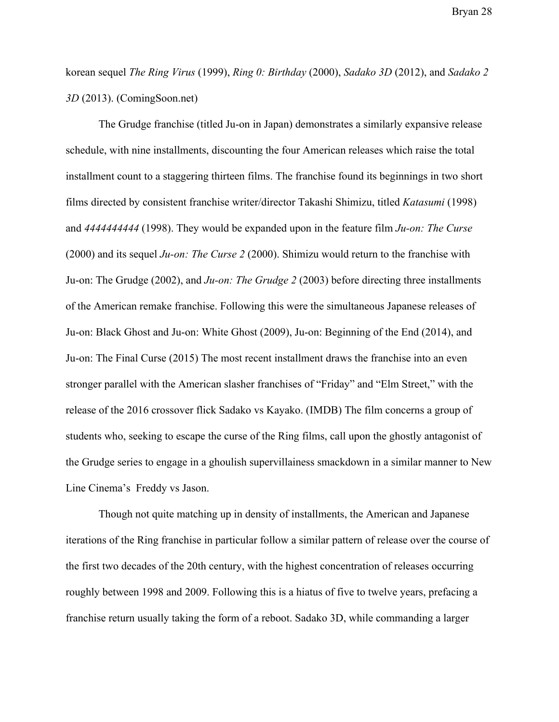korean sequel *The Ring Virus* (1999), *Ring 0: Birthday* (2000), *Sadako 3D* (2012), and *Sadako 2 3D* (2013). (ComingSoon.net)

The Grudge franchise (titled Ju-on in Japan) demonstrates a similarly expansive release schedule, with nine installments, discounting the four American releases which raise the total installment count to a staggering thirteen films. The franchise found its beginnings in two short films directed by consistent franchise writer/director Takashi Shimizu, titled *Katasumi* (1998) and *4444444444* (1998). They would be expanded upon in the feature film *Ju-on: The Curse* (2000) and its sequel *Ju-on: The Curse 2* (2000). Shimizu would return to the franchise with Ju-on: The Grudge (2002), and *Ju-on: The Grudge 2* (2003) before directing three installments of the American remake franchise. Following this were the simultaneous Japanese releases of Ju-on: Black Ghost and Ju-on: White Ghost (2009), Ju-on: Beginning of the End (2014), and Ju-on: The Final Curse (2015) The most recent installment draws the franchise into an even stronger parallel with the American slasher franchises of "Friday" and "Elm Street," with the release of the 2016 crossover flick Sadako vs Kayako. (IMDB) The film concerns a group of students who, seeking to escape the curse of the Ring films, call upon the ghostly antagonist of the Grudge series to engage in a ghoulish supervillainess smackdown in a similar manner to New Line Cinema's Freddy vs Jason.

Though not quite matching up in density of installments, the American and Japanese iterations of the Ring franchise in particular follow a similar pattern of release over the course of the first two decades of the 20th century, with the highest concentration of releases occurring roughly between 1998 and 2009. Following this is a hiatus of five to twelve years, prefacing a franchise return usually taking the form of a reboot. Sadako 3D, while commanding a larger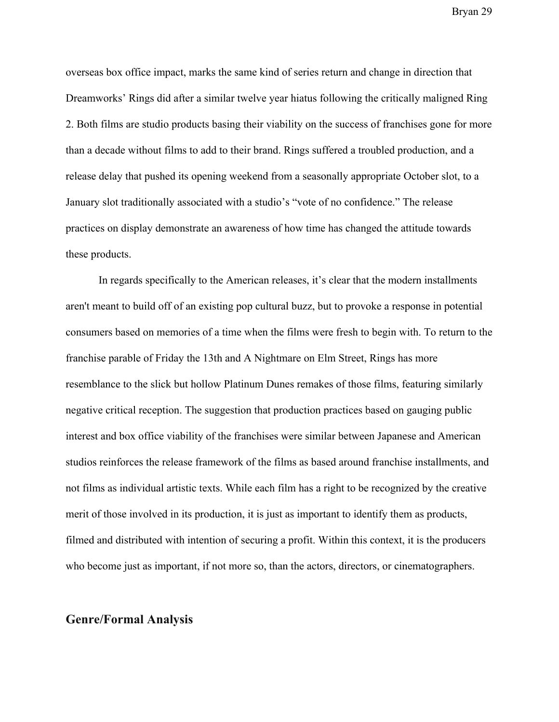overseas box office impact, marks the same kind of series return and change in direction that Dreamworks' Rings did after a similar twelve year hiatus following the critically maligned Ring 2. Both films are studio products basing their viability on the success of franchises gone for more than a decade without films to add to their brand. Rings suffered a troubled production, and a release delay that pushed its opening weekend from a seasonally appropriate October slot, to a January slot traditionally associated with a studio's "vote of no confidence." The release practices on display demonstrate an awareness of how time has changed the attitude towards these products.

In regards specifically to the American releases, it's clear that the modern installments aren't meant to build off of an existing pop cultural buzz, but to provoke a response in potential consumers based on memories of a time when the films were fresh to begin with. To return to the franchise parable of Friday the 13th and A Nightmare on Elm Street, Rings has more resemblance to the slick but hollow Platinum Dunes remakes of those films, featuring similarly negative critical reception. The suggestion that production practices based on gauging public interest and box office viability of the franchises were similar between Japanese and American studios reinforces the release framework of the films as based around franchise installments, and not films as individual artistic texts. While each film has a right to be recognized by the creative merit of those involved in its production, it is just as important to identify them as products, filmed and distributed with intention of securing a profit. Within this context, it is the producers who become just as important, if not more so, than the actors, directors, or cinematographers.

#### **Genre/Formal Analysis**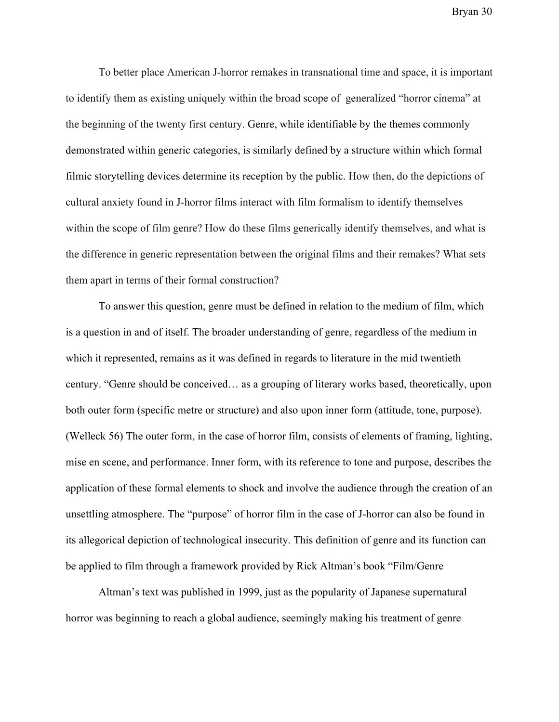To better place American J-horror remakes in transnational time and space, it is important to identify them as existing uniquely within the broad scope of generalized "horror cinema" at the beginning of the twenty first century. Genre, while identifiable by the themes commonly demonstrated within generic categories, is similarly defined by a structure within which formal filmic storytelling devices determine its reception by the public. How then, do the depictions of cultural anxiety found in J-horror films interact with film formalism to identify themselves within the scope of film genre? How do these films generically identify themselves, and what is the difference in generic representation between the original films and their remakes? What sets them apart in terms of their formal construction?

To answer this question, genre must be defined in relation to the medium of film, which is a question in and of itself. The broader understanding of genre, regardless of the medium in which it represented, remains as it was defined in regards to literature in the mid twentieth century. "Genre should be conceived… as a grouping of literary works based, theoretically, upon both outer form (specific metre or structure) and also upon inner form (attitude, tone, purpose). (Welleck 56) The outer form, in the case of horror film, consists of elements of framing, lighting, mise en scene, and performance. Inner form, with its reference to tone and purpose, describes the application of these formal elements to shock and involve the audience through the creation of an unsettling atmosphere. The "purpose" of horror film in the case of J-horror can also be found in its allegorical depiction of technological insecurity. This definition of genre and its function can be applied to film through a framework provided by Rick Altman's book "Film/Genre

Altman's text was published in 1999, just as the popularity of Japanese supernatural horror was beginning to reach a global audience, seemingly making his treatment of genre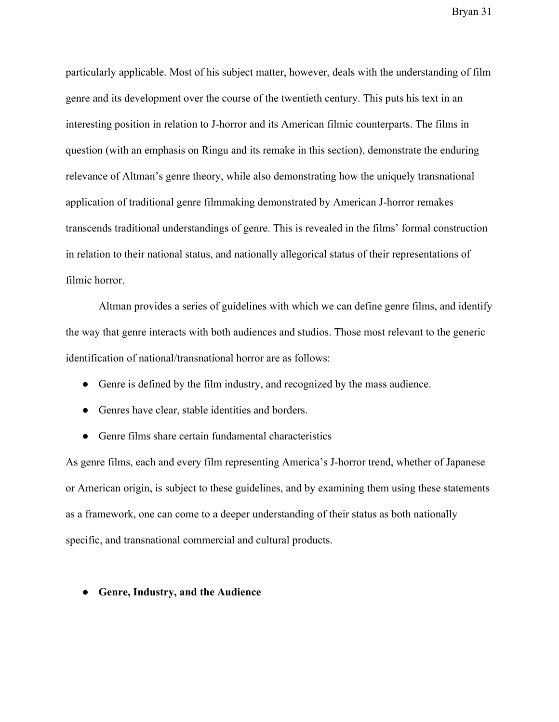particularly applicable. Most of his subject matter, however, deals with the understanding of film genre and its development over the course of the twentieth century. This puts his text in an interesting position in relation to J-horror and its American filmic counterparts. The films in question (with an emphasis on Ringu and its remake in this section), demonstrate the enduring relevance of Altman's genre theory, while also demonstrating how the uniquely transnational application of traditional genre filmmaking demonstrated by American J-horror remakes transcends traditional understandings of genre. This is revealed in the films' formal construction in relation to their national status, and nationally allegorical status of their representations of filmic horror.

Altman provides a series of guidelines with which we can define genre films, and identify the way that genre interacts with both audiences and studios. Those most relevant to the generic identification of national/transnational horror are as follows:

- Genre is defined by the film industry, and recognized by the mass audience.
- Genres have clear, stable identities and borders.
- Genre films share certain fundamental characteristics

As genre films, each and every film representing America's J-horror trend, whether of Japanese or American origin, is subject to these guidelines, and by examining them using these statements as a framework, one can come to a deeper understanding of their status as both nationally specific, and transnational commercial and cultural products.

**● Genre, Industry, and the Audience**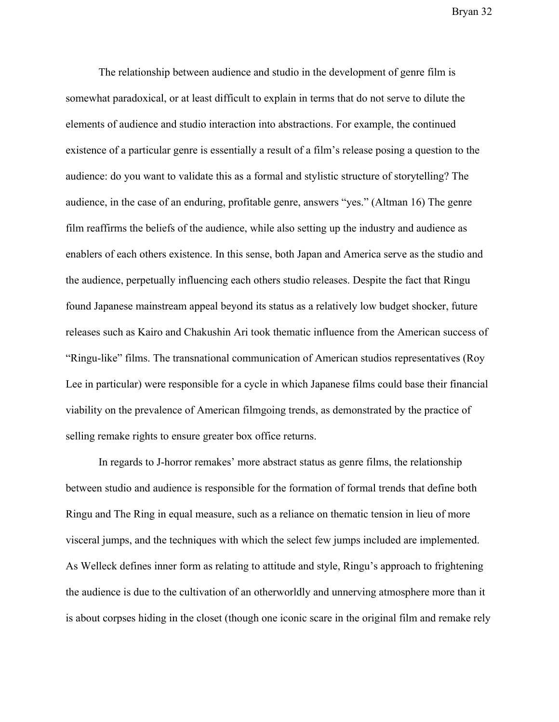The relationship between audience and studio in the development of genre film is somewhat paradoxical, or at least difficult to explain in terms that do not serve to dilute the elements of audience and studio interaction into abstractions. For example, the continued existence of a particular genre is essentially a result of a film's release posing a question to the audience: do you want to validate this as a formal and stylistic structure of storytelling? The audience, in the case of an enduring, profitable genre, answers "yes." (Altman 16) The genre film reaffirms the beliefs of the audience, while also setting up the industry and audience as enablers of each others existence. In this sense, both Japan and America serve as the studio and the audience, perpetually influencing each others studio releases. Despite the fact that Ringu found Japanese mainstream appeal beyond its status as a relatively low budget shocker, future releases such as Kairo and Chakushin Ari took thematic influence from the American success of "Ringu-like" films. The transnational communication of American studios representatives (Roy Lee in particular) were responsible for a cycle in which Japanese films could base their financial viability on the prevalence of American filmgoing trends, as demonstrated by the practice of selling remake rights to ensure greater box office returns.

In regards to J-horror remakes' more abstract status as genre films, the relationship between studio and audience is responsible for the formation of formal trends that define both Ringu and The Ring in equal measure, such as a reliance on thematic tension in lieu of more visceral jumps, and the techniques with which the select few jumps included are implemented. As Welleck defines inner form as relating to attitude and style, Ringu's approach to frightening the audience is due to the cultivation of an otherworldly and unnerving atmosphere more than it is about corpses hiding in the closet (though one iconic scare in the original film and remake rely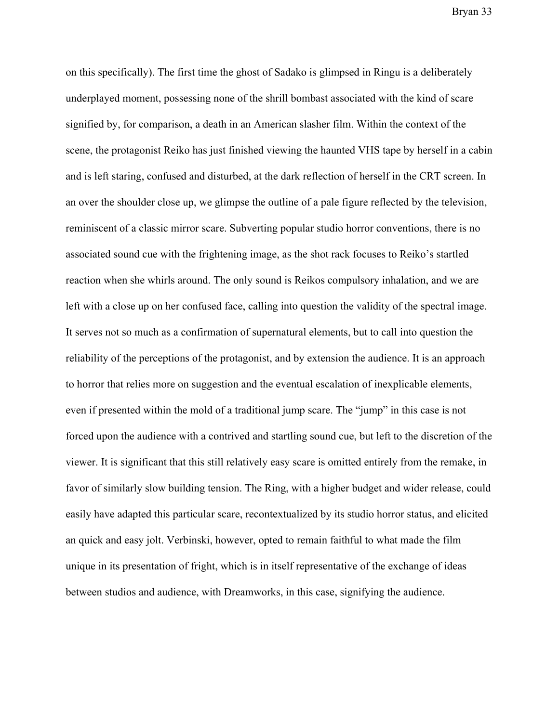on this specifically). The first time the ghost of Sadako is glimpsed in Ringu is a deliberately underplayed moment, possessing none of the shrill bombast associated with the kind of scare signified by, for comparison, a death in an American slasher film. Within the context of the scene, the protagonist Reiko has just finished viewing the haunted VHS tape by herself in a cabin and is left staring, confused and disturbed, at the dark reflection of herself in the CRT screen. In an over the shoulder close up, we glimpse the outline of a pale figure reflected by the television, reminiscent of a classic mirror scare. Subverting popular studio horror conventions, there is no associated sound cue with the frightening image, as the shot rack focuses to Reiko's startled reaction when she whirls around. The only sound is Reikos compulsory inhalation, and we are left with a close up on her confused face, calling into question the validity of the spectral image. It serves not so much as a confirmation of supernatural elements, but to call into question the reliability of the perceptions of the protagonist, and by extension the audience. It is an approach to horror that relies more on suggestion and the eventual escalation of inexplicable elements, even if presented within the mold of a traditional jump scare. The "jump" in this case is not forced upon the audience with a contrived and startling sound cue, but left to the discretion of the viewer. It is significant that this still relatively easy scare is omitted entirely from the remake, in favor of similarly slow building tension. The Ring, with a higher budget and wider release, could easily have adapted this particular scare, recontextualized by its studio horror status, and elicited an quick and easy jolt. Verbinski, however, opted to remain faithful to what made the film unique in its presentation of fright, which is in itself representative of the exchange of ideas between studios and audience, with Dreamworks, in this case, signifying the audience.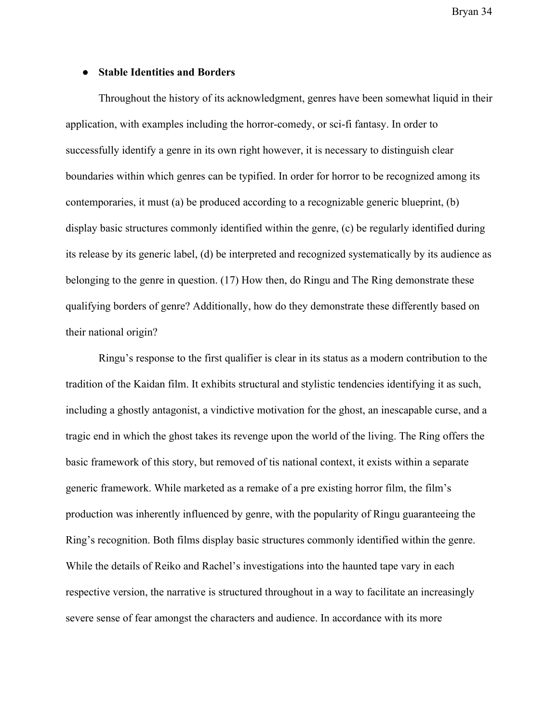#### **● Stable Identities and Borders**

Throughout the history of its acknowledgment, genres have been somewhat liquid in their application, with examples including the horror-comedy, or sci-fi fantasy. In order to successfully identify a genre in its own right however, it is necessary to distinguish clear boundaries within which genres can be typified. In order for horror to be recognized among its contemporaries, it must (a) be produced according to a recognizable generic blueprint, (b) display basic structures commonly identified within the genre, (c) be regularly identified during its release by its generic label, (d) be interpreted and recognized systematically by its audience as belonging to the genre in question. (17) How then, do Ringu and The Ring demonstrate these qualifying borders of genre? Additionally, how do they demonstrate these differently based on their national origin?

Ringu's response to the first qualifier is clear in its status as a modern contribution to the tradition of the Kaidan film. It exhibits structural and stylistic tendencies identifying it as such, including a ghostly antagonist, a vindictive motivation for the ghost, an inescapable curse, and a tragic end in which the ghost takes its revenge upon the world of the living. The Ring offers the basic framework of this story, but removed of tis national context, it exists within a separate generic framework. While marketed as a remake of a pre existing horror film, the film's production was inherently influenced by genre, with the popularity of Ringu guaranteeing the Ring's recognition. Both films display basic structures commonly identified within the genre. While the details of Reiko and Rachel's investigations into the haunted tape vary in each respective version, the narrative is structured throughout in a way to facilitate an increasingly severe sense of fear amongst the characters and audience. In accordance with its more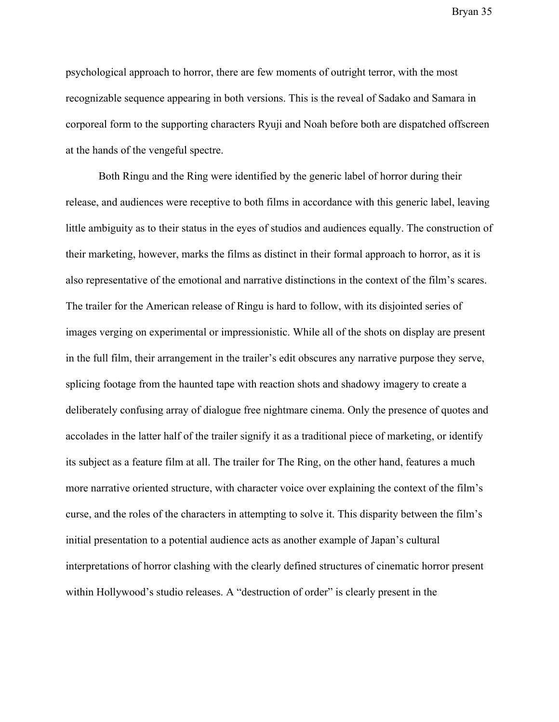psychological approach to horror, there are few moments of outright terror, with the most recognizable sequence appearing in both versions. This is the reveal of Sadako and Samara in corporeal form to the supporting characters Ryuji and Noah before both are dispatched offscreen at the hands of the vengeful spectre.

Both Ringu and the Ring were identified by the generic label of horror during their release, and audiences were receptive to both films in accordance with this generic label, leaving little ambiguity as to their status in the eyes of studios and audiences equally. The construction of their marketing, however, marks the films as distinct in their formal approach to horror, as it is also representative of the emotional and narrative distinctions in the context of the film's scares. The trailer for the American release of Ringu is hard to follow, with its disjointed series of images verging on experimental or impressionistic. While all of the shots on display are present in the full film, their arrangement in the trailer's edit obscures any narrative purpose they serve, splicing footage from the haunted tape with reaction shots and shadowy imagery to create a deliberately confusing array of dialogue free nightmare cinema. Only the presence of quotes and accolades in the latter half of the trailer signify it as a traditional piece of marketing, or identify its subject as a feature film at all. The trailer for The Ring, on the other hand, features a much more narrative oriented structure, with character voice over explaining the context of the film's curse, and the roles of the characters in attempting to solve it. This disparity between the film's initial presentation to a potential audience acts as another example of Japan's cultural interpretations of horror clashing with the clearly defined structures of cinematic horror present within Hollywood's studio releases. A "destruction of order" is clearly present in the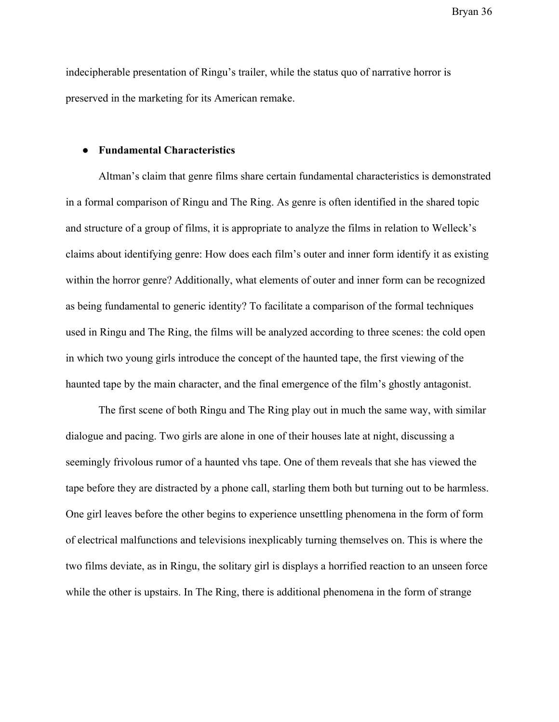indecipherable presentation of Ringu's trailer, while the status quo of narrative horror is preserved in the marketing for its American remake.

#### **● Fundamental Characteristics**

Altman's claim that genre films share certain fundamental characteristics is demonstrated in a formal comparison of Ringu and The Ring. As genre is often identified in the shared topic and structure of a group of films, it is appropriate to analyze the films in relation to Welleck's claims about identifying genre: How does each film's outer and inner form identify it as existing within the horror genre? Additionally, what elements of outer and inner form can be recognized as being fundamental to generic identity? To facilitate a comparison of the formal techniques used in Ringu and The Ring, the films will be analyzed according to three scenes: the cold open in which two young girls introduce the concept of the haunted tape, the first viewing of the haunted tape by the main character, and the final emergence of the film's ghostly antagonist.

The first scene of both Ringu and The Ring play out in much the same way, with similar dialogue and pacing. Two girls are alone in one of their houses late at night, discussing a seemingly frivolous rumor of a haunted vhs tape. One of them reveals that she has viewed the tape before they are distracted by a phone call, starling them both but turning out to be harmless. One girl leaves before the other begins to experience unsettling phenomena in the form of form of electrical malfunctions and televisions inexplicably turning themselves on. This is where the two films deviate, as in Ringu, the solitary girl is displays a horrified reaction to an unseen force while the other is upstairs. In The Ring, there is additional phenomena in the form of strange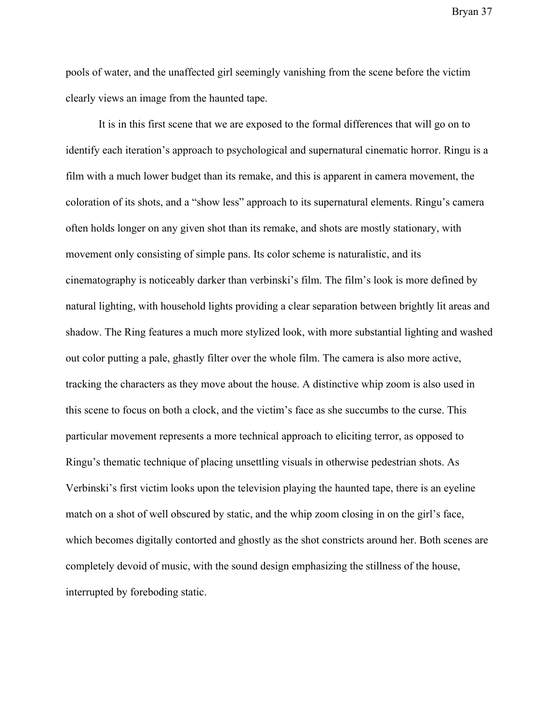pools of water, and the unaffected girl seemingly vanishing from the scene before the victim clearly views an image from the haunted tape.

It is in this first scene that we are exposed to the formal differences that will go on to identify each iteration's approach to psychological and supernatural cinematic horror. Ringu is a film with a much lower budget than its remake, and this is apparent in camera movement, the coloration of its shots, and a "show less" approach to its supernatural elements. Ringu's camera often holds longer on any given shot than its remake, and shots are mostly stationary, with movement only consisting of simple pans. Its color scheme is naturalistic, and its cinematography is noticeably darker than verbinski's film. The film's look is more defined by natural lighting, with household lights providing a clear separation between brightly lit areas and shadow. The Ring features a much more stylized look, with more substantial lighting and washed out color putting a pale, ghastly filter over the whole film. The camera is also more active, tracking the characters as they move about the house. A distinctive whip zoom is also used in this scene to focus on both a clock, and the victim's face as she succumbs to the curse. This particular movement represents a more technical approach to eliciting terror, as opposed to Ringu's thematic technique of placing unsettling visuals in otherwise pedestrian shots. As Verbinski's first victim looks upon the television playing the haunted tape, there is an eyeline match on a shot of well obscured by static, and the whip zoom closing in on the girl's face, which becomes digitally contorted and ghostly as the shot constricts around her. Both scenes are completely devoid of music, with the sound design emphasizing the stillness of the house, interrupted by foreboding static.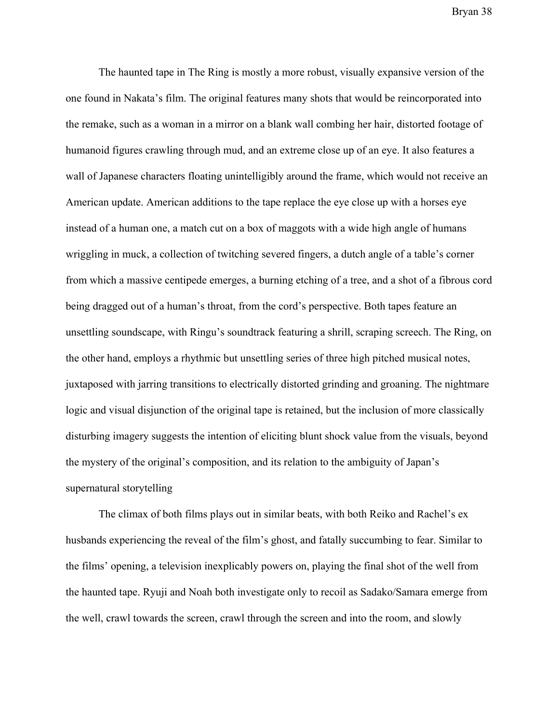The haunted tape in The Ring is mostly a more robust, visually expansive version of the one found in Nakata's film. The original features many shots that would be reincorporated into the remake, such as a woman in a mirror on a blank wall combing her hair, distorted footage of humanoid figures crawling through mud, and an extreme close up of an eye. It also features a wall of Japanese characters floating unintelligibly around the frame, which would not receive an American update. American additions to the tape replace the eye close up with a horses eye instead of a human one, a match cut on a box of maggots with a wide high angle of humans wriggling in muck, a collection of twitching severed fingers, a dutch angle of a table's corner from which a massive centipede emerges, a burning etching of a tree, and a shot of a fibrous cord being dragged out of a human's throat, from the cord's perspective. Both tapes feature an unsettling soundscape, with Ringu's soundtrack featuring a shrill, scraping screech. The Ring, on the other hand, employs a rhythmic but unsettling series of three high pitched musical notes, juxtaposed with jarring transitions to electrically distorted grinding and groaning. The nightmare logic and visual disjunction of the original tape is retained, but the inclusion of more classically disturbing imagery suggests the intention of eliciting blunt shock value from the visuals, beyond the mystery of the original's composition, and its relation to the ambiguity of Japan's supernatural storytelling

The climax of both films plays out in similar beats, with both Reiko and Rachel's ex husbands experiencing the reveal of the film's ghost, and fatally succumbing to fear. Similar to the films' opening, a television inexplicably powers on, playing the final shot of the well from the haunted tape. Ryuji and Noah both investigate only to recoil as Sadako/Samara emerge from the well, crawl towards the screen, crawl through the screen and into the room, and slowly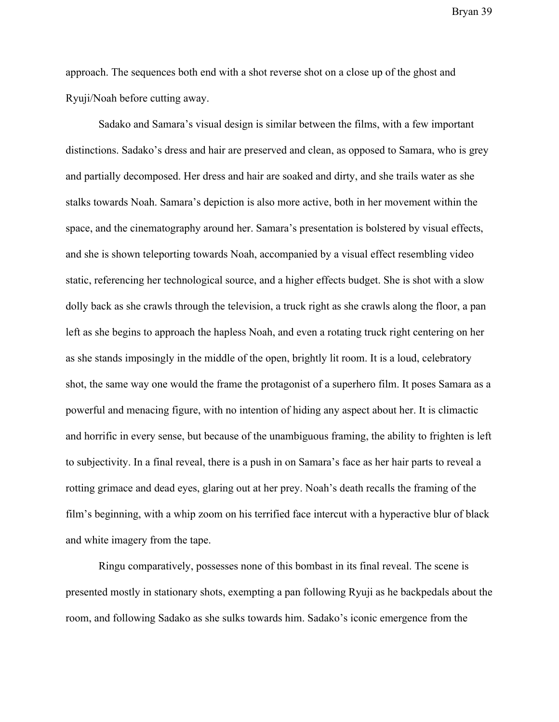approach. The sequences both end with a shot reverse shot on a close up of the ghost and Ryuji/Noah before cutting away.

Sadako and Samara's visual design is similar between the films, with a few important distinctions. Sadako's dress and hair are preserved and clean, as opposed to Samara, who is grey and partially decomposed. Her dress and hair are soaked and dirty, and she trails water as she stalks towards Noah. Samara's depiction is also more active, both in her movement within the space, and the cinematography around her. Samara's presentation is bolstered by visual effects, and she is shown teleporting towards Noah, accompanied by a visual effect resembling video static, referencing her technological source, and a higher effects budget. She is shot with a slow dolly back as she crawls through the television, a truck right as she crawls along the floor, a pan left as she begins to approach the hapless Noah, and even a rotating truck right centering on her as she stands imposingly in the middle of the open, brightly lit room. It is a loud, celebratory shot, the same way one would the frame the protagonist of a superhero film. It poses Samara as a powerful and menacing figure, with no intention of hiding any aspect about her. It is climactic and horrific in every sense, but because of the unambiguous framing, the ability to frighten is left to subjectivity. In a final reveal, there is a push in on Samara's face as her hair parts to reveal a rotting grimace and dead eyes, glaring out at her prey. Noah's death recalls the framing of the film's beginning, with a whip zoom on his terrified face intercut with a hyperactive blur of black and white imagery from the tape.

Ringu comparatively, possesses none of this bombast in its final reveal. The scene is presented mostly in stationary shots, exempting a pan following Ryuji as he backpedals about the room, and following Sadako as she sulks towards him. Sadako's iconic emergence from the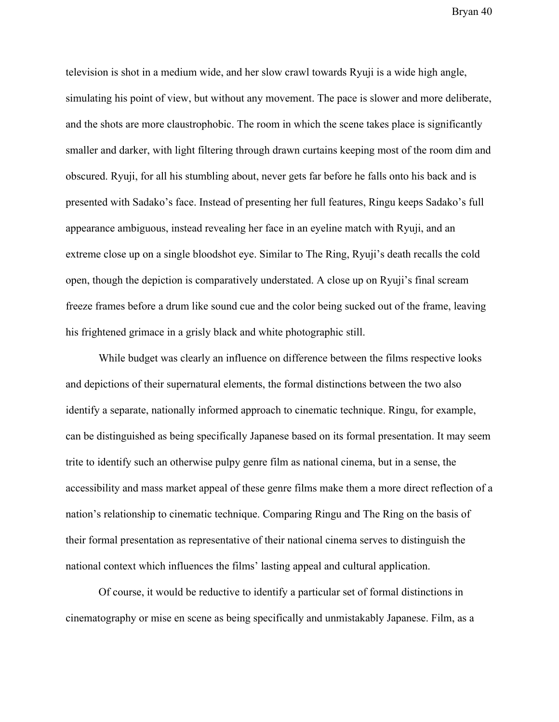television is shot in a medium wide, and her slow crawl towards Ryuji is a wide high angle, simulating his point of view, but without any movement. The pace is slower and more deliberate, and the shots are more claustrophobic. The room in which the scene takes place is significantly smaller and darker, with light filtering through drawn curtains keeping most of the room dim and obscured. Ryuji, for all his stumbling about, never gets far before he falls onto his back and is presented with Sadako's face. Instead of presenting her full features, Ringu keeps Sadako's full appearance ambiguous, instead revealing her face in an eyeline match with Ryuji, and an extreme close up on a single bloodshot eye. Similar to The Ring, Ryuji's death recalls the cold open, though the depiction is comparatively understated. A close up on Ryuji's final scream freeze frames before a drum like sound cue and the color being sucked out of the frame, leaving his frightened grimace in a grisly black and white photographic still.

While budget was clearly an influence on difference between the films respective looks and depictions of their supernatural elements, the formal distinctions between the two also identify a separate, nationally informed approach to cinematic technique. Ringu, for example, can be distinguished as being specifically Japanese based on its formal presentation. It may seem trite to identify such an otherwise pulpy genre film as national cinema, but in a sense, the accessibility and mass market appeal of these genre films make them a more direct reflection of a nation's relationship to cinematic technique. Comparing Ringu and The Ring on the basis of their formal presentation as representative of their national cinema serves to distinguish the national context which influences the films' lasting appeal and cultural application.

Of course, it would be reductive to identify a particular set of formal distinctions in cinematography or mise en scene as being specifically and unmistakably Japanese. Film, as a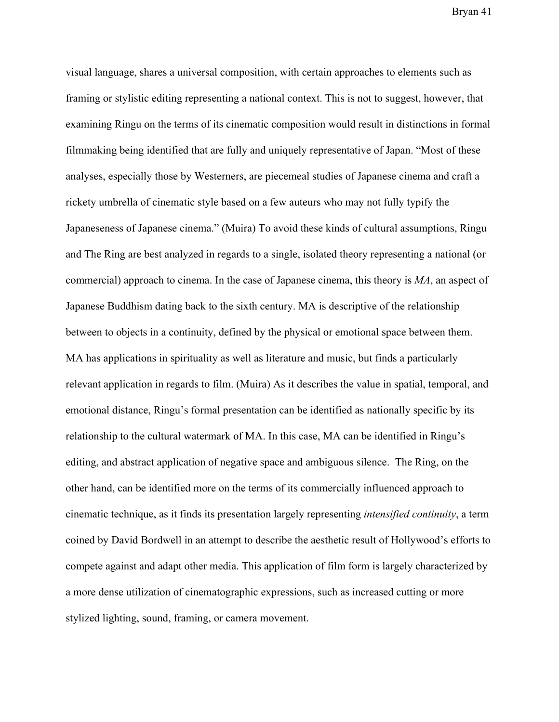visual language, shares a universal composition, with certain approaches to elements such as framing or stylistic editing representing a national context. This is not to suggest, however, that examining Ringu on the terms of its cinematic composition would result in distinctions in formal filmmaking being identified that are fully and uniquely representative of Japan. "Most of these analyses, especially those by Westerners, are piecemeal studies of Japanese cinema and craft a rickety umbrella of cinematic style based on a few auteurs who may not fully typify the Japaneseness of Japanese cinema." (Muira) To avoid these kinds of cultural assumptions, Ringu and The Ring are best analyzed in regards to a single, isolated theory representing a national (or commercial) approach to cinema. In the case of Japanese cinema, this theory is *MA*, an aspect of Japanese Buddhism dating back to the sixth century. MA is descriptive of the relationship between to objects in a continuity, defined by the physical or emotional space between them. MA has applications in spirituality as well as literature and music, but finds a particularly relevant application in regards to film. (Muira) As it describes the value in spatial, temporal, and emotional distance, Ringu's formal presentation can be identified as nationally specific by its relationship to the cultural watermark of MA. In this case, MA can be identified in Ringu's editing, and abstract application of negative space and ambiguous silence. The Ring, on the other hand, can be identified more on the terms of its commercially influenced approach to cinematic technique, as it finds its presentation largely representing *intensified continuity*, a term coined by David Bordwell in an attempt to describe the aesthetic result of Hollywood's efforts to compete against and adapt other media. This application of film form is largely characterized by a more dense utilization of cinematographic expressions, such as increased cutting or more stylized lighting, sound, framing, or camera movement.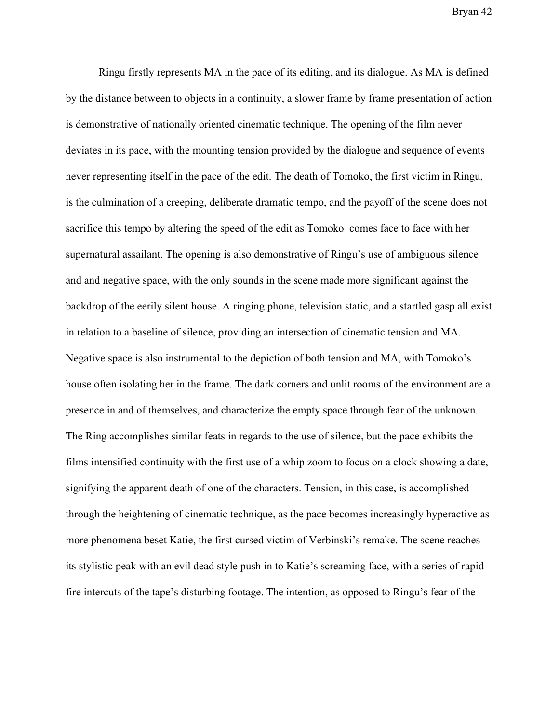Ringu firstly represents MA in the pace of its editing, and its dialogue. As MA is defined by the distance between to objects in a continuity, a slower frame by frame presentation of action is demonstrative of nationally oriented cinematic technique. The opening of the film never deviates in its pace, with the mounting tension provided by the dialogue and sequence of events never representing itself in the pace of the edit. The death of Tomoko, the first victim in Ringu, is the culmination of a creeping, deliberate dramatic tempo, and the payoff of the scene does not sacrifice this tempo by altering the speed of the edit as Tomoko comes face to face with her supernatural assailant. The opening is also demonstrative of Ringu's use of ambiguous silence and and negative space, with the only sounds in the scene made more significant against the backdrop of the eerily silent house. A ringing phone, television static, and a startled gasp all exist in relation to a baseline of silence, providing an intersection of cinematic tension and MA. Negative space is also instrumental to the depiction of both tension and MA, with Tomoko's house often isolating her in the frame. The dark corners and unlit rooms of the environment are a presence in and of themselves, and characterize the empty space through fear of the unknown. The Ring accomplishes similar feats in regards to the use of silence, but the pace exhibits the films intensified continuity with the first use of a whip zoom to focus on a clock showing a date, signifying the apparent death of one of the characters. Tension, in this case, is accomplished through the heightening of cinematic technique, as the pace becomes increasingly hyperactive as more phenomena beset Katie, the first cursed victim of Verbinski's remake. The scene reaches its stylistic peak with an evil dead style push in to Katie's screaming face, with a series of rapid fire intercuts of the tape's disturbing footage. The intention, as opposed to Ringu's fear of the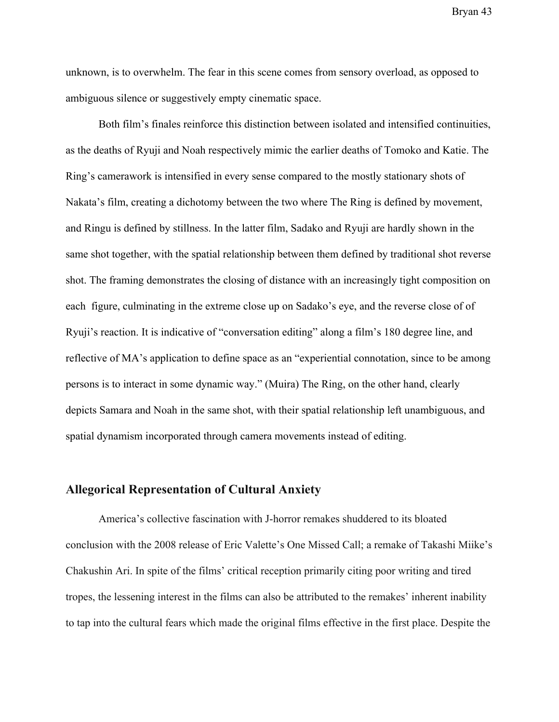unknown, is to overwhelm. The fear in this scene comes from sensory overload, as opposed to ambiguous silence or suggestively empty cinematic space.

Both film's finales reinforce this distinction between isolated and intensified continuities, as the deaths of Ryuji and Noah respectively mimic the earlier deaths of Tomoko and Katie. The Ring's camerawork is intensified in every sense compared to the mostly stationary shots of Nakata's film, creating a dichotomy between the two where The Ring is defined by movement, and Ringu is defined by stillness. In the latter film, Sadako and Ryuji are hardly shown in the same shot together, with the spatial relationship between them defined by traditional shot reverse shot. The framing demonstrates the closing of distance with an increasingly tight composition on each figure, culminating in the extreme close up on Sadako's eye, and the reverse close of of Ryuji's reaction. It is indicative of "conversation editing" along a film's 180 degree line, and reflective of MA's application to define space as an "experiential connotation, since to be among persons is to interact in some dynamic way." (Muira) The Ring, on the other hand, clearly depicts Samara and Noah in the same shot, with their spatial relationship left unambiguous, and spatial dynamism incorporated through camera movements instead of editing.

#### **Allegorical Representation of Cultural Anxiety**

America's collective fascination with J-horror remakes shuddered to its bloated conclusion with the 2008 release of Eric Valette's One Missed Call; a remake of Takashi Miike's Chakushin Ari. In spite of the films' critical reception primarily citing poor writing and tired tropes, the lessening interest in the films can also be attributed to the remakes' inherent inability to tap into the cultural fears which made the original films effective in the first place. Despite the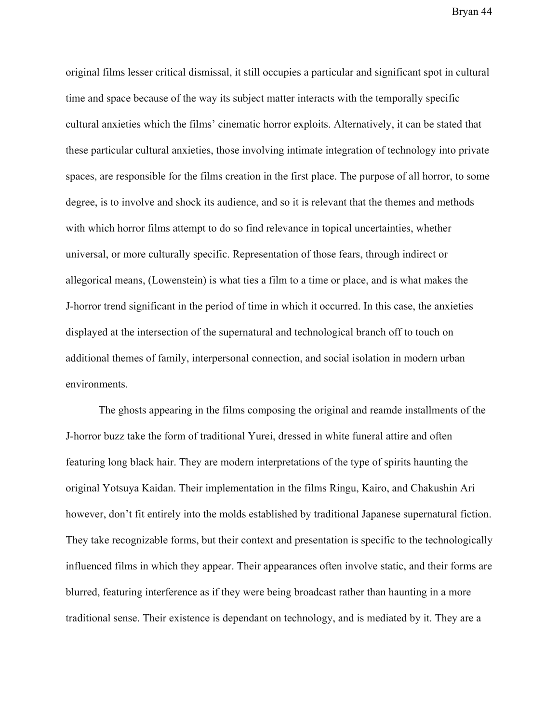original films lesser critical dismissal, it still occupies a particular and significant spot in cultural time and space because of the way its subject matter interacts with the temporally specific cultural anxieties which the films' cinematic horror exploits. Alternatively, it can be stated that these particular cultural anxieties, those involving intimate integration of technology into private spaces, are responsible for the films creation in the first place. The purpose of all horror, to some degree, is to involve and shock its audience, and so it is relevant that the themes and methods with which horror films attempt to do so find relevance in topical uncertainties, whether universal, or more culturally specific. Representation of those fears, through indirect or allegorical means, (Lowenstein) is what ties a film to a time or place, and is what makes the J-horror trend significant in the period of time in which it occurred. In this case, the anxieties displayed at the intersection of the supernatural and technological branch off to touch on additional themes of family, interpersonal connection, and social isolation in modern urban environments.

The ghosts appearing in the films composing the original and reamde installments of the J-horror buzz take the form of traditional Yurei, dressed in white funeral attire and often featuring long black hair. They are modern interpretations of the type of spirits haunting the original Yotsuya Kaidan. Their implementation in the films Ringu, Kairo, and Chakushin Ari however, don't fit entirely into the molds established by traditional Japanese supernatural fiction. They take recognizable forms, but their context and presentation is specific to the technologically influenced films in which they appear. Their appearances often involve static, and their forms are blurred, featuring interference as if they were being broadcast rather than haunting in a more traditional sense. Their existence is dependant on technology, and is mediated by it. They are a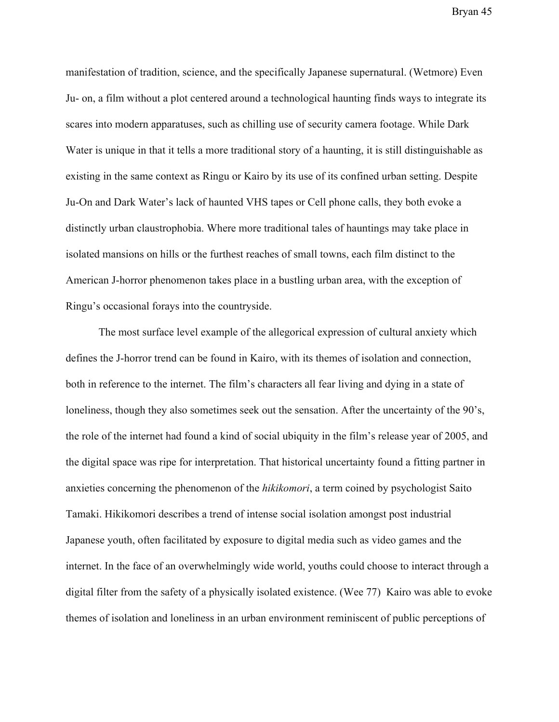manifestation of tradition, science, and the specifically Japanese supernatural. (Wetmore) Even Ju- on, a film without a plot centered around a technological haunting finds ways to integrate its scares into modern apparatuses, such as chilling use of security camera footage. While Dark Water is unique in that it tells a more traditional story of a haunting, it is still distinguishable as existing in the same context as Ringu or Kairo by its use of its confined urban setting. Despite Ju-On and Dark Water's lack of haunted VHS tapes or Cell phone calls, they both evoke a distinctly urban claustrophobia. Where more traditional tales of hauntings may take place in isolated mansions on hills or the furthest reaches of small towns, each film distinct to the American J-horror phenomenon takes place in a bustling urban area, with the exception of Ringu's occasional forays into the countryside.

The most surface level example of the allegorical expression of cultural anxiety which defines the J-horror trend can be found in Kairo, with its themes of isolation and connection, both in reference to the internet. The film's characters all fear living and dying in a state of loneliness, though they also sometimes seek out the sensation. After the uncertainty of the 90's, the role of the internet had found a kind of social ubiquity in the film's release year of 2005, and the digital space was ripe for interpretation. That historical uncertainty found a fitting partner in anxieties concerning the phenomenon of the *hikikomori*, a term coined by psychologist Saito Tamaki. Hikikomori describes a trend of intense social isolation amongst post industrial Japanese youth, often facilitated by exposure to digital media such as video games and the internet. In the face of an overwhelmingly wide world, youths could choose to interact through a digital filter from the safety of a physically isolated existence. (Wee 77) Kairo was able to evoke themes of isolation and loneliness in an urban environment reminiscent of public perceptions of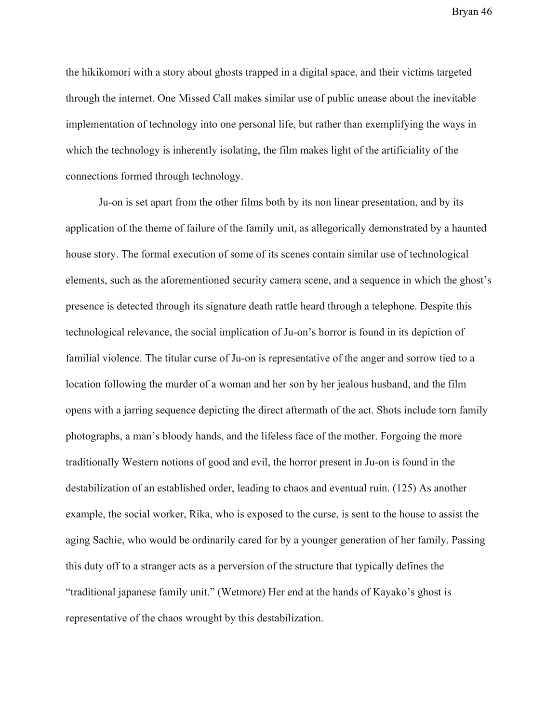the hikikomori with a story about ghosts trapped in a digital space, and their victims targeted through the internet. One Missed Call makes similar use of public unease about the inevitable implementation of technology into one personal life, but rather than exemplifying the ways in which the technology is inherently isolating, the film makes light of the artificiality of the connections formed through technology.

Ju-on is set apart from the other films both by its non linear presentation, and by its application of the theme of failure of the family unit, as allegorically demonstrated by a haunted house story. The formal execution of some of its scenes contain similar use of technological elements, such as the aforementioned security camera scene, and a sequence in which the ghost's presence is detected through its signature death rattle heard through a telephone. Despite this technological relevance, the social implication of Ju-on's horror is found in its depiction of familial violence. The titular curse of Ju-on is representative of the anger and sorrow tied to a location following the murder of a woman and her son by her jealous husband, and the film opens with a jarring sequence depicting the direct aftermath of the act. Shots include torn family photographs, a man's bloody hands, and the lifeless face of the mother. Forgoing the more traditionally Western notions of good and evil, the horror present in Ju-on is found in the destabilization of an established order, leading to chaos and eventual ruin. (125) As another example, the social worker, Rika, who is exposed to the curse, is sent to the house to assist the aging Sachie, who would be ordinarily cared for by a younger generation of her family. Passing this duty off to a stranger acts as a perversion of the structure that typically defines the "traditional japanese family unit." (Wetmore) Her end at the hands of Kayako's ghost is representative of the chaos wrought by this destabilization.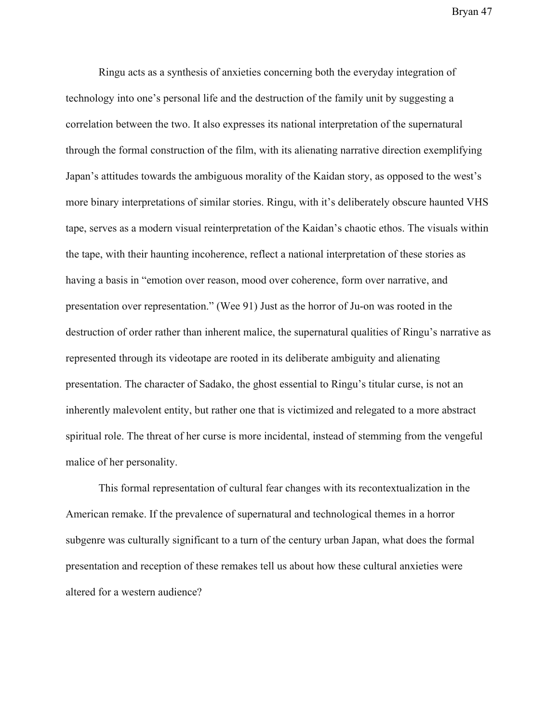Ringu acts as a synthesis of anxieties concerning both the everyday integration of technology into one's personal life and the destruction of the family unit by suggesting a correlation between the two. It also expresses its national interpretation of the supernatural through the formal construction of the film, with its alienating narrative direction exemplifying Japan's attitudes towards the ambiguous morality of the Kaidan story, as opposed to the west's more binary interpretations of similar stories. Ringu, with it's deliberately obscure haunted VHS tape, serves as a modern visual reinterpretation of the Kaidan's chaotic ethos. The visuals within the tape, with their haunting incoherence, reflect a national interpretation of these stories as having a basis in "emotion over reason, mood over coherence, form over narrative, and presentation over representation." (Wee 91) Just as the horror of Ju-on was rooted in the destruction of order rather than inherent malice, the supernatural qualities of Ringu's narrative as represented through its videotape are rooted in its deliberate ambiguity and alienating presentation. The character of Sadako, the ghost essential to Ringu's titular curse, is not an inherently malevolent entity, but rather one that is victimized and relegated to a more abstract spiritual role. The threat of her curse is more incidental, instead of stemming from the vengeful malice of her personality.

This formal representation of cultural fear changes with its recontextualization in the American remake. If the prevalence of supernatural and technological themes in a horror subgenre was culturally significant to a turn of the century urban Japan, what does the formal presentation and reception of these remakes tell us about how these cultural anxieties were altered for a western audience?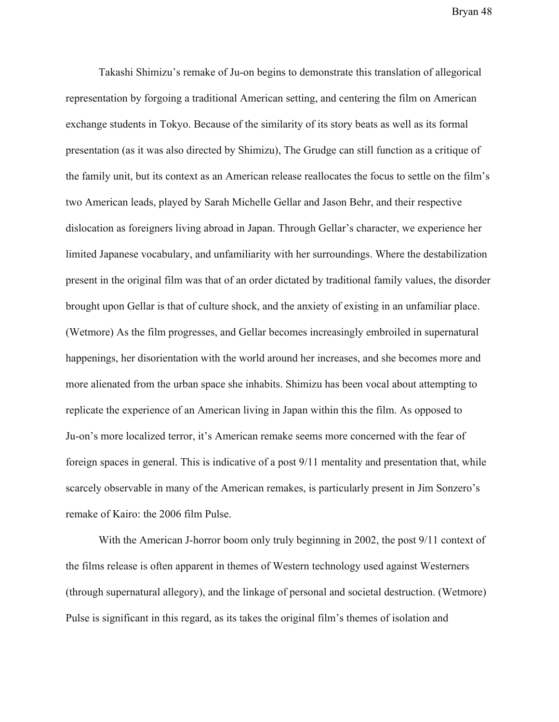Takashi Shimizu's remake of Ju-on begins to demonstrate this translation of allegorical representation by forgoing a traditional American setting, and centering the film on American exchange students in Tokyo. Because of the similarity of its story beats as well as its formal presentation (as it was also directed by Shimizu), The Grudge can still function as a critique of the family unit, but its context as an American release reallocates the focus to settle on the film's two American leads, played by Sarah Michelle Gellar and Jason Behr, and their respective dislocation as foreigners living abroad in Japan. Through Gellar's character, we experience her limited Japanese vocabulary, and unfamiliarity with her surroundings. Where the destabilization present in the original film was that of an order dictated by traditional family values, the disorder brought upon Gellar is that of culture shock, and the anxiety of existing in an unfamiliar place. (Wetmore) As the film progresses, and Gellar becomes increasingly embroiled in supernatural happenings, her disorientation with the world around her increases, and she becomes more and more alienated from the urban space she inhabits. Shimizu has been vocal about attempting to replicate the experience of an American living in Japan within this the film. As opposed to Ju-on's more localized terror, it's American remake seems more concerned with the fear of foreign spaces in general. This is indicative of a post 9/11 mentality and presentation that, while scarcely observable in many of the American remakes, is particularly present in Jim Sonzero's remake of Kairo: the 2006 film Pulse.

With the American J-horror boom only truly beginning in 2002, the post 9/11 context of the films release is often apparent in themes of Western technology used against Westerners (through supernatural allegory), and the linkage of personal and societal destruction. (Wetmore) Pulse is significant in this regard, as its takes the original film's themes of isolation and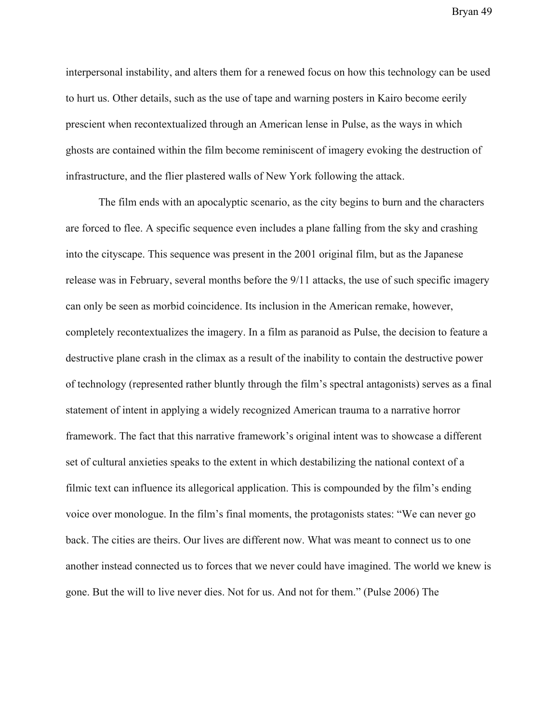interpersonal instability, and alters them for a renewed focus on how this technology can be used to hurt us. Other details, such as the use of tape and warning posters in Kairo become eerily prescient when recontextualized through an American lense in Pulse, as the ways in which ghosts are contained within the film become reminiscent of imagery evoking the destruction of infrastructure, and the flier plastered walls of New York following the attack.

The film ends with an apocalyptic scenario, as the city begins to burn and the characters are forced to flee. A specific sequence even includes a plane falling from the sky and crashing into the cityscape. This sequence was present in the 2001 original film, but as the Japanese release was in February, several months before the 9/11 attacks, the use of such specific imagery can only be seen as morbid coincidence. Its inclusion in the American remake, however, completely recontextualizes the imagery. In a film as paranoid as Pulse, the decision to feature a destructive plane crash in the climax as a result of the inability to contain the destructive power of technology (represented rather bluntly through the film's spectral antagonists) serves as a final statement of intent in applying a widely recognized American trauma to a narrative horror framework. The fact that this narrative framework's original intent was to showcase a different set of cultural anxieties speaks to the extent in which destabilizing the national context of a filmic text can influence its allegorical application. This is compounded by the film's ending voice over monologue. In the film's final moments, the protagonists states: "We can never go back. The cities are theirs. Our lives are different now. What was meant to connect us to one another instead connected us to forces that we never could have imagined. The world we knew is gone. But the will to live never dies. Not for us. And not for them." (Pulse 2006) The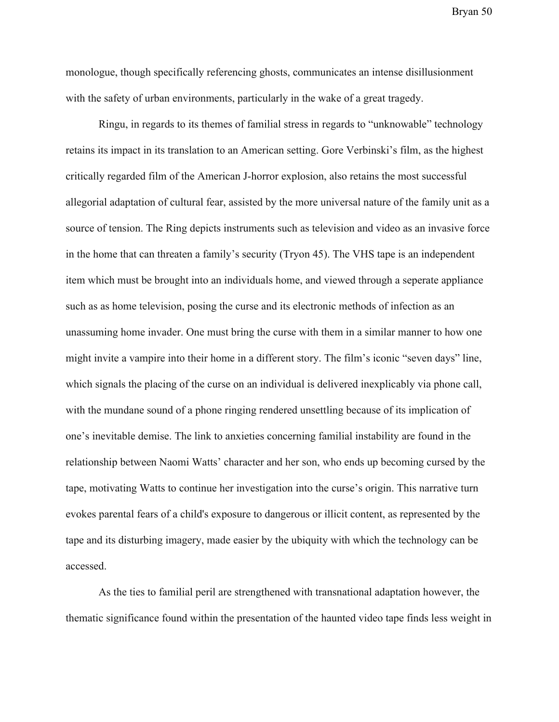monologue, though specifically referencing ghosts, communicates an intense disillusionment with the safety of urban environments, particularly in the wake of a great tragedy.

Ringu, in regards to its themes of familial stress in regards to "unknowable" technology retains its impact in its translation to an American setting. Gore Verbinski's film, as the highest critically regarded film of the American J-horror explosion, also retains the most successful allegorial adaptation of cultural fear, assisted by the more universal nature of the family unit as a source of tension. The Ring depicts instruments such as television and video as an invasive force in the home that can threaten a family's security (Tryon 45). The VHS tape is an independent item which must be brought into an individuals home, and viewed through a seperate appliance such as as home television, posing the curse and its electronic methods of infection as an unassuming home invader. One must bring the curse with them in a similar manner to how one might invite a vampire into their home in a different story. The film's iconic "seven days" line, which signals the placing of the curse on an individual is delivered inexplicably via phone call, with the mundane sound of a phone ringing rendered unsettling because of its implication of one's inevitable demise. The link to anxieties concerning familial instability are found in the relationship between Naomi Watts' character and her son, who ends up becoming cursed by the tape, motivating Watts to continue her investigation into the curse's origin. This narrative turn evokes parental fears of a child's exposure to dangerous or illicit content, as represented by the tape and its disturbing imagery, made easier by the ubiquity with which the technology can be accessed.

As the ties to familial peril are strengthened with transnational adaptation however, the thematic significance found within the presentation of the haunted video tape finds less weight in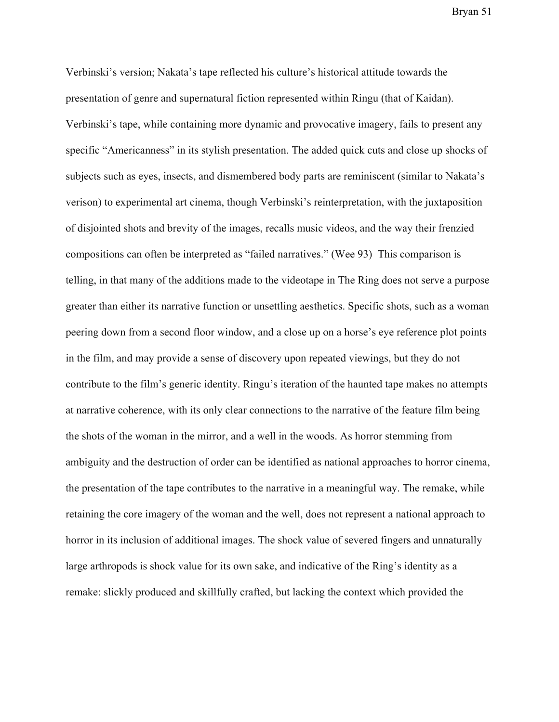Verbinski's version; Nakata's tape reflected his culture's historical attitude towards the presentation of genre and supernatural fiction represented within Ringu (that of Kaidan). Verbinski's tape, while containing more dynamic and provocative imagery, fails to present any specific "Americanness" in its stylish presentation. The added quick cuts and close up shocks of subjects such as eyes, insects, and dismembered body parts are reminiscent (similar to Nakata's verison) to experimental art cinema, though Verbinski's reinterpretation, with the juxtaposition of disjointed shots and brevity of the images, recalls music videos, and the way their frenzied compositions can often be interpreted as "failed narratives." (Wee 93) This comparison is telling, in that many of the additions made to the videotape in The Ring does not serve a purpose greater than either its narrative function or unsettling aesthetics. Specific shots, such as a woman peering down from a second floor window, and a close up on a horse's eye reference plot points in the film, and may provide a sense of discovery upon repeated viewings, but they do not contribute to the film's generic identity. Ringu's iteration of the haunted tape makes no attempts at narrative coherence, with its only clear connections to the narrative of the feature film being the shots of the woman in the mirror, and a well in the woods. As horror stemming from ambiguity and the destruction of order can be identified as national approaches to horror cinema, the presentation of the tape contributes to the narrative in a meaningful way. The remake, while retaining the core imagery of the woman and the well, does not represent a national approach to horror in its inclusion of additional images. The shock value of severed fingers and unnaturally large arthropods is shock value for its own sake, and indicative of the Ring's identity as a remake: slickly produced and skillfully crafted, but lacking the context which provided the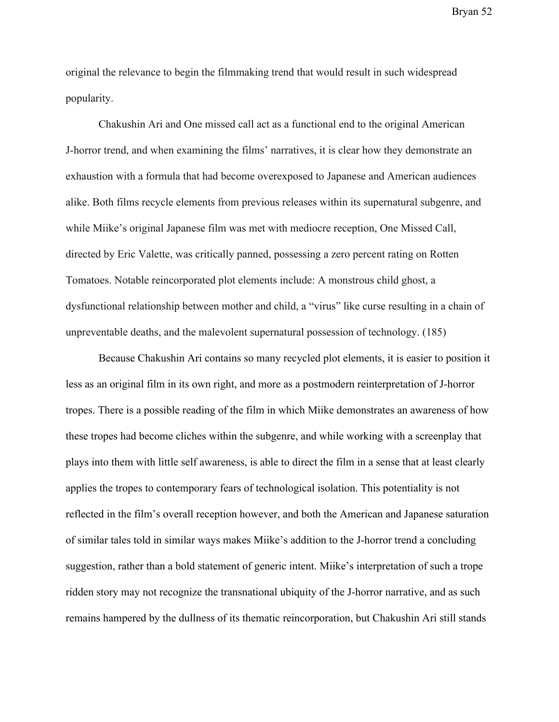original the relevance to begin the filmmaking trend that would result in such widespread popularity.

Chakushin Ari and One missed call act as a functional end to the original American J-horror trend, and when examining the films' narratives, it is clear how they demonstrate an exhaustion with a formula that had become overexposed to Japanese and American audiences alike. Both films recycle elements from previous releases within its supernatural subgenre, and while Miike's original Japanese film was met with mediocre reception, One Missed Call, directed by Eric Valette, was critically panned, possessing a zero percent rating on Rotten Tomatoes. Notable reincorporated plot elements include: A monstrous child ghost, a dysfunctional relationship between mother and child, a "virus" like curse resulting in a chain of unpreventable deaths, and the malevolent supernatural possession of technology. (185)

Because Chakushin Ari contains so many recycled plot elements, it is easier to position it less as an original film in its own right, and more as a postmodern reinterpretation of J-horror tropes. There is a possible reading of the film in which Miike demonstrates an awareness of how these tropes had become cliches within the subgenre, and while working with a screenplay that plays into them with little self awareness, is able to direct the film in a sense that at least clearly applies the tropes to contemporary fears of technological isolation. This potentiality is not reflected in the film's overall reception however, and both the American and Japanese saturation of similar tales told in similar ways makes Miike's addition to the J-horror trend a concluding suggestion, rather than a bold statement of generic intent. Miike's interpretation of such a trope ridden story may not recognize the transnational ubiquity of the J-horror narrative, and as such remains hampered by the dullness of its thematic reincorporation, but Chakushin Ari still stands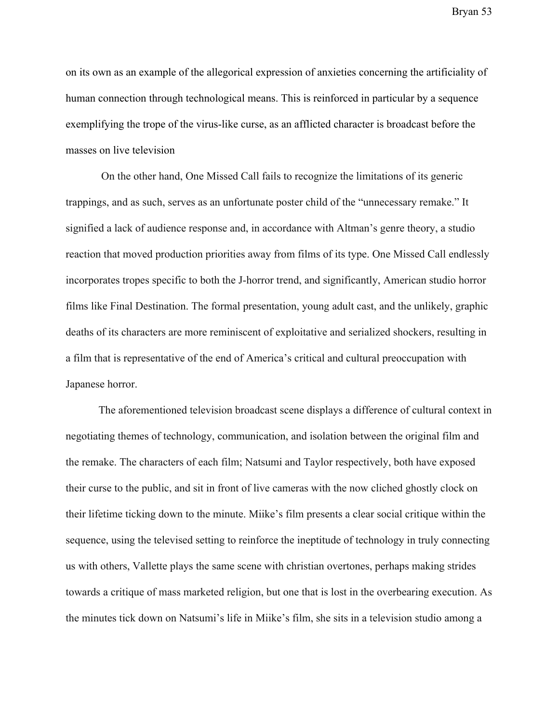on its own as an example of the allegorical expression of anxieties concerning the artificiality of human connection through technological means. This is reinforced in particular by a sequence exemplifying the trope of the virus-like curse, as an afflicted character is broadcast before the masses on live television

 On the other hand, One Missed Call fails to recognize the limitations of its generic trappings, and as such, serves as an unfortunate poster child of the "unnecessary remake." It signified a lack of audience response and, in accordance with Altman's genre theory, a studio reaction that moved production priorities away from films of its type. One Missed Call endlessly incorporates tropes specific to both the J-horror trend, and significantly, American studio horror films like Final Destination. The formal presentation, young adult cast, and the unlikely, graphic deaths of its characters are more reminiscent of exploitative and serialized shockers, resulting in a film that is representative of the end of America's critical and cultural preoccupation with Japanese horror.

The aforementioned television broadcast scene displays a difference of cultural context in negotiating themes of technology, communication, and isolation between the original film and the remake. The characters of each film; Natsumi and Taylor respectively, both have exposed their curse to the public, and sit in front of live cameras with the now cliched ghostly clock on their lifetime ticking down to the minute. Miike's film presents a clear social critique within the sequence, using the televised setting to reinforce the ineptitude of technology in truly connecting us with others, Vallette plays the same scene with christian overtones, perhaps making strides towards a critique of mass marketed religion, but one that is lost in the overbearing execution. As the minutes tick down on Natsumi's life in Miike's film, she sits in a television studio among a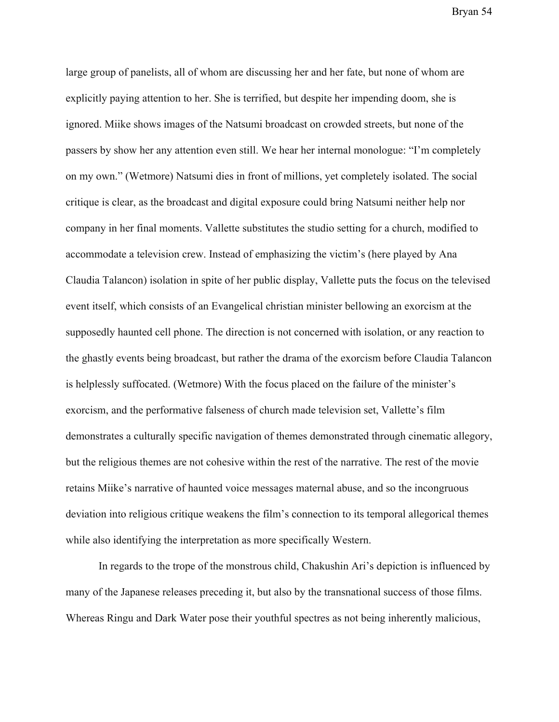large group of panelists, all of whom are discussing her and her fate, but none of whom are explicitly paying attention to her. She is terrified, but despite her impending doom, she is ignored. Miike shows images of the Natsumi broadcast on crowded streets, but none of the passers by show her any attention even still. We hear her internal monologue: "I'm completely on my own." (Wetmore) Natsumi dies in front of millions, yet completely isolated. The social critique is clear, as the broadcast and digital exposure could bring Natsumi neither help nor company in her final moments. Vallette substitutes the studio setting for a church, modified to accommodate a television crew. Instead of emphasizing the victim's (here played by Ana Claudia Talancon) isolation in spite of her public display, Vallette puts the focus on the televised event itself, which consists of an Evangelical christian minister bellowing an exorcism at the supposedly haunted cell phone. The direction is not concerned with isolation, or any reaction to the ghastly events being broadcast, but rather the drama of the exorcism before Claudia Talancon is helplessly suffocated. (Wetmore) With the focus placed on the failure of the minister's exorcism, and the performative falseness of church made television set, Vallette's film demonstrates a culturally specific navigation of themes demonstrated through cinematic allegory, but the religious themes are not cohesive within the rest of the narrative. The rest of the movie retains Miike's narrative of haunted voice messages maternal abuse, and so the incongruous deviation into religious critique weakens the film's connection to its temporal allegorical themes while also identifying the interpretation as more specifically Western.

In regards to the trope of the monstrous child, Chakushin Ari's depiction is influenced by many of the Japanese releases preceding it, but also by the transnational success of those films. Whereas Ringu and Dark Water pose their youthful spectres as not being inherently malicious,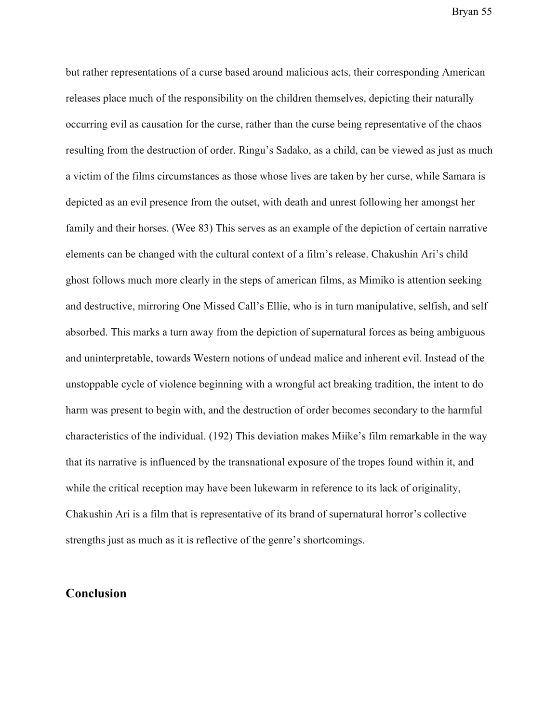but rather representations of a curse based around malicious acts, their corresponding American releases place much of the responsibility on the children themselves, depicting their naturally occurring evil as causation for the curse, rather than the curse being representative of the chaos resulting from the destruction of order. Ringu's Sadako, as a child, can be viewed as just as much a victim of the films circumstances as those whose lives are taken by her curse, while Samara is depicted as an evil presence from the outset, with death and unrest following her amongst her family and their horses. (Wee 83) This serves as an example of the depiction of certain narrative elements can be changed with the cultural context of a film's release. Chakushin Ari's child ghost follows much more clearly in the steps of american films, as Mimiko is attention seeking and destructive, mirroring One Missed Call's Ellie, who is in turn manipulative, selfish, and self absorbed. This marks a turn away from the depiction of supernatural forces as being ambiguous and uninterpretable, towards Western notions of undead malice and inherent evil. Instead of the unstoppable cycle of violence beginning with a wrongful act breaking tradition, the intent to do harm was present to begin with, and the destruction of order becomes secondary to the harmful characteristics of the individual. (192) This deviation makes Miike's film remarkable in the way that its narrative is influenced by the transnational exposure of the tropes found within it, and while the critical reception may have been lukewarm in reference to its lack of originality, Chakushin Ari is a film that is representative of its brand of supernatural horror's collective strengths just as much as it is reflective of the genre's shortcomings.

## **Conclusion**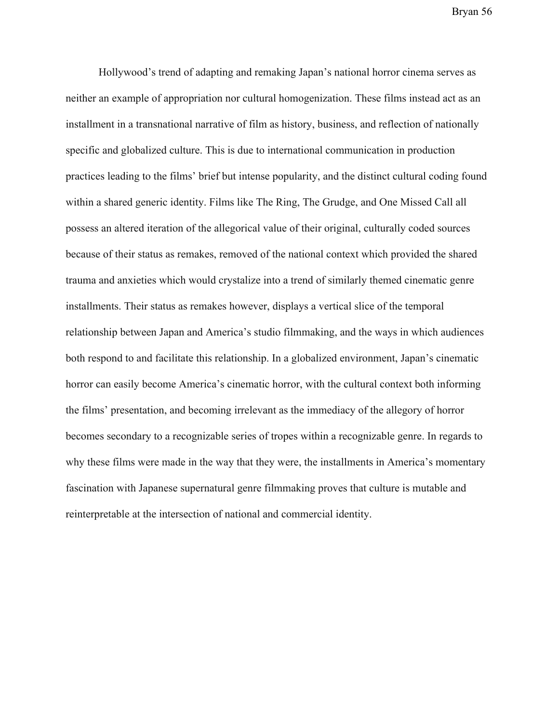Hollywood's trend of adapting and remaking Japan's national horror cinema serves as neither an example of appropriation nor cultural homogenization. These films instead act as an installment in a transnational narrative of film as history, business, and reflection of nationally specific and globalized culture. This is due to international communication in production practices leading to the films' brief but intense popularity, and the distinct cultural coding found within a shared generic identity. Films like The Ring, The Grudge, and One Missed Call all possess an altered iteration of the allegorical value of their original, culturally coded sources because of their status as remakes, removed of the national context which provided the shared trauma and anxieties which would crystalize into a trend of similarly themed cinematic genre installments. Their status as remakes however, displays a vertical slice of the temporal relationship between Japan and America's studio filmmaking, and the ways in which audiences both respond to and facilitate this relationship. In a globalized environment, Japan's cinematic horror can easily become America's cinematic horror, with the cultural context both informing the films' presentation, and becoming irrelevant as the immediacy of the allegory of horror becomes secondary to a recognizable series of tropes within a recognizable genre. In regards to why these films were made in the way that they were, the installments in America's momentary fascination with Japanese supernatural genre filmmaking proves that culture is mutable and reinterpretable at the intersection of national and commercial identity.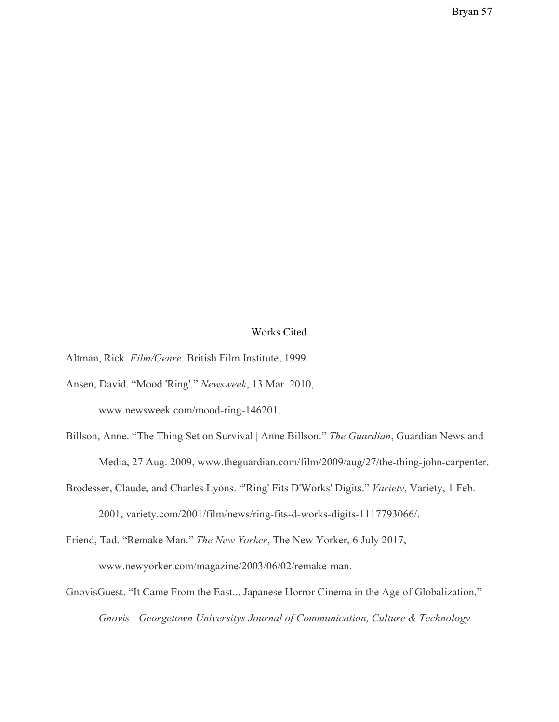#### Works Cited

Altman, Rick. *Film/Genre*. British Film Institute, 1999.

- Ansen, David. "Mood 'Ring'." *Newsweek*, 13 Mar. 2010, www.newsweek.com/mood-ring-146201.
- Billson, Anne. "The Thing Set on Survival | Anne Billson." *The Guardian*, Guardian News and Media, 27 Aug. 2009, www.theguardian.com/film/2009/aug/27/the-thing-john-carpenter.
- Brodesser, Claude, and Charles Lyons. "'Ring' Fits D'Works' Digits." *Variety*, Variety, 1 Feb. 2001, variety.com/2001/film/news/ring-fits-d-works-digits-1117793066/.

Friend, Tad. "Remake Man." *The New Yorker*, The New Yorker, 6 July 2017, www.newyorker.com/magazine/2003/06/02/remake-man.

GnovisGuest. "It Came From the East... Japanese Horror Cinema in the Age of Globalization." *Gnovis - Georgetown Universitys Journal of Communication, Culture & Technology*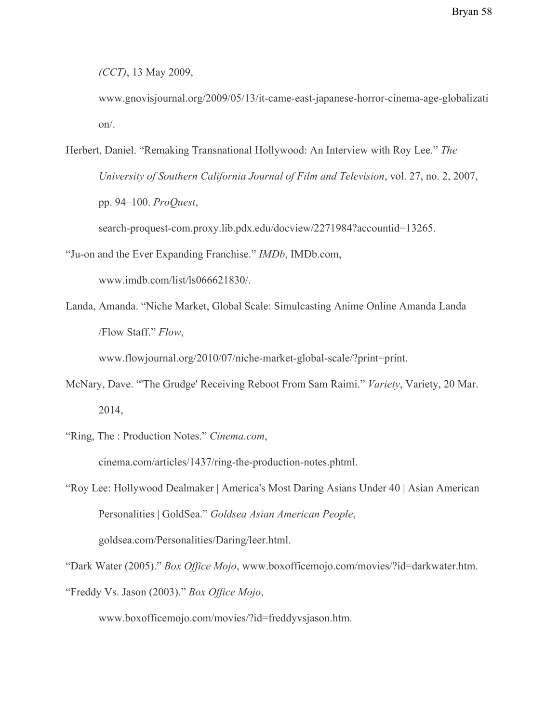*(CCT)*, 13 May 2009,

www.gnovisjournal.org/2009/05/13/it-came-east-japanese-horror-cinema-age-globalizati on/.

Herbert, Daniel. "Remaking Transnational Hollywood: An Interview with Roy Lee." *The University of Southern California Journal of Film and Television*, vol. 27, no. 2, 2007, pp. 94–100. *ProQuest*, search-proquest-com.proxy.lib.pdx.edu/docview/2271984?accountid=13265.

"Ju-on and the Ever Expanding Franchise." *IMDb*, IMDb.com,

www.imdb.com/list/ls066621830/.

Landa, Amanda. "Niche Market, Global Scale: Simulcasting Anime Online Amanda Landa /Flow Staff." *Flow*,

www.flowjournal.org/2010/07/niche-market-global-scale/?print=print.

- McNary, Dave. "'The Grudge' Receiving Reboot From Sam Raimi." *Variety*, Variety, 20 Mar. 2014,
- "Ring, The : Production Notes." *Cinema.com*, cinema.com/articles/1437/ring-the-production-notes.phtml.
- "Roy Lee: Hollywood Dealmaker | America's Most Daring Asians Under 40 | Asian American Personalities | GoldSea." *Goldsea Asian American People*,

goldsea.com/Personalities/Daring/leer.html.

"Dark Water (2005)." *Box Office Mojo*, www.boxofficemojo.com/movies/?id=darkwater.htm. "Freddy Vs. Jason (2003)." *Box Office Mojo*,

www.boxofficemojo.com/movies/?id=freddyvsjason.htm.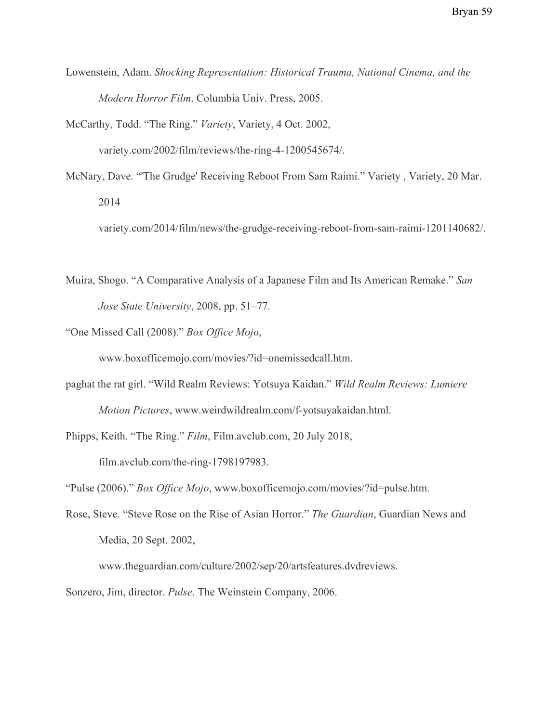Lowenstein, Adam. *Shocking Representation: Historical Trauma, National Cinema, and the Modern Horror Film*. Columbia Univ. Press, 2005.

McCarthy, Todd. "The Ring." *Variety*, Variety, 4 Oct. 2002,

variety.com/2002/film/reviews/the-ring-4-1200545674/.

McNary, Dave. "'The Grudge' Receiving Reboot From Sam Raimi." Variety , Variety, 20 Mar. 2014

variety.com/2014/film/news/the-grudge-receiving-reboot-from-sam-raimi-1201140682/.

- Muira, Shogo. "A Comparative Analysis of a Japanese Film and Its American Remake." *San Jose State University*, 2008, pp. 51–77.
- "One Missed Call (2008)." *Box Office Mojo*,

www.boxofficemojo.com/movies/?id=onemissedcall.htm.

paghat the rat girl. "Wild Realm Reviews: Yotsuya Kaidan." *Wild Realm Reviews: Lumiere Motion Pictures*, www.weirdwildrealm.com/f-yotsuyakaidan.html.

Phipps, Keith. "The Ring." *Film*, Film.avclub.com, 20 July 2018,

film.avclub.com/the-ring-1798197983.

"Pulse (2006)." *Box Office Mojo*, www.boxofficemojo.com/movies/?id=pulse.htm.

Rose, Steve. "Steve Rose on the Rise of Asian Horror." *The Guardian*, Guardian News and Media, 20 Sept. 2002,

www.theguardian.com/culture/2002/sep/20/artsfeatures.dvdreviews.

Sonzero, Jim, director. *Pulse*. The Weinstein Company, 2006.